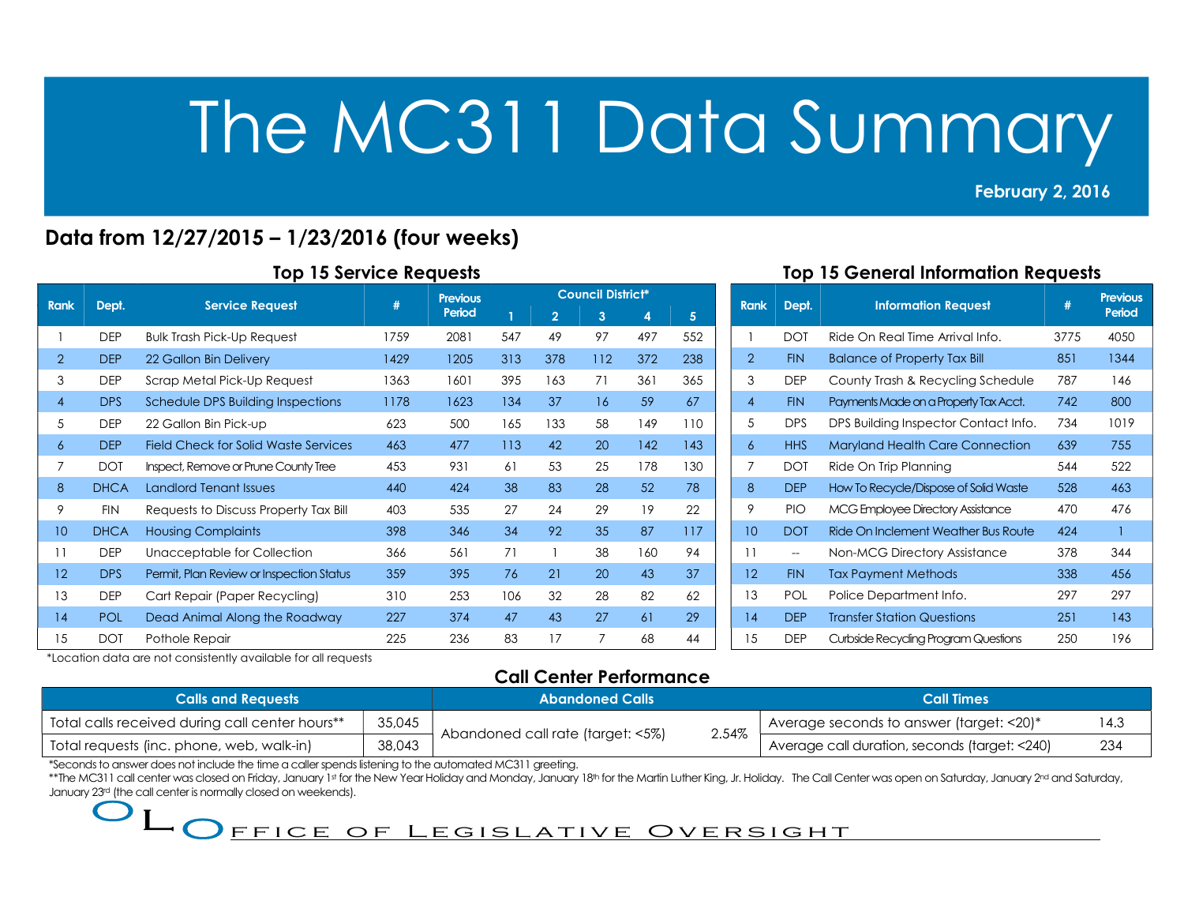#### February 2, 2016 2013<br>2013 - Paul Barnett, amerikansk politik<br>2013 - Paul Barnett, amerikansk politik

## Data from 12/27/2015 – 1/23/2016 (four weeks)

|                                                                                                                                                                                                                                                                                                                                                                                                                                                 | <b>Top 15 General Information Requests</b><br><b>Top 15 Service Requests</b> |                                                                |        |                                   |     |                |                          |                                |                |                |            |                                               |      |                 |
|-------------------------------------------------------------------------------------------------------------------------------------------------------------------------------------------------------------------------------------------------------------------------------------------------------------------------------------------------------------------------------------------------------------------------------------------------|------------------------------------------------------------------------------|----------------------------------------------------------------|--------|-----------------------------------|-----|----------------|--------------------------|--------------------------------|----------------|----------------|------------|-----------------------------------------------|------|-----------------|
| <b>Rank</b>                                                                                                                                                                                                                                                                                                                                                                                                                                     | Dept.                                                                        | <b>Service Request</b>                                         | #      | <b>Previous</b>                   |     |                | <b>Council District*</b> |                                |                | Rank           | Dept.      | <b>Information Request</b>                    | #    | <b>Previous</b> |
|                                                                                                                                                                                                                                                                                                                                                                                                                                                 |                                                                              |                                                                |        | Period                            |     | $\overline{2}$ | 3 <sup>2</sup>           | $\overline{4}$                 | 5 <sub>5</sub> |                |            |                                               |      | Period          |
| $\overline{1}$                                                                                                                                                                                                                                                                                                                                                                                                                                  | <b>DEP</b>                                                                   | <b>Bulk Trash Pick-Up Request</b>                              | 1759   | 2081                              | 547 | 49             | 97                       | 497                            | 552            |                | <b>DOT</b> | Ride On Real Time Arrival Info.               | 3775 | 4050            |
| $\overline{2}$                                                                                                                                                                                                                                                                                                                                                                                                                                  | <b>DEP</b>                                                                   | 22 Gallon Bin Delivery                                         | 1429   | 1205                              | 313 | 378            | 112                      | 372                            | 238            | $\overline{2}$ | <b>FIN</b> | <b>Balance of Property Tax Bill</b>           | 851  | 1344            |
| 3                                                                                                                                                                                                                                                                                                                                                                                                                                               | <b>DEP</b>                                                                   | Scrap Metal Pick-Up Request                                    | 1363   | 1601                              | 395 | 163            | 71                       | 361                            | 365            | 3              | <b>DEP</b> | County Trash & Recycling Schedule             | 787  | 146             |
| $\overline{4}$                                                                                                                                                                                                                                                                                                                                                                                                                                  | <b>DPS</b>                                                                   | Schedule DPS Building Inspections                              | 1178   | 1623                              | 134 | 37             | 16                       | 59                             | 67             | $\overline{4}$ | <b>FIN</b> | Payments Made on a Property Tax Acct.         | 742  | 800             |
| 5                                                                                                                                                                                                                                                                                                                                                                                                                                               | <b>DEP</b>                                                                   | 22 Gallon Bin Pick-up                                          | 623    | 500                               | 165 | 133            | 58                       | 149                            | 110            | 5              | <b>DPS</b> | DPS Building Inspector Contact Info.          | 734  | 1019            |
| 6                                                                                                                                                                                                                                                                                                                                                                                                                                               | <b>DEP</b>                                                                   | <b>Field Check for Solid Waste Services</b>                    | 463    | 477                               | 113 | 42             | 20                       | 142                            | 143            | 6              | <b>HHS</b> | Maryland Health Care Connection               | 639  | 755             |
| 7                                                                                                                                                                                                                                                                                                                                                                                                                                               | <b>DOT</b>                                                                   | Inspect, Remove or Prune County Tree                           | 453    | 931                               | 61  | 53             | 25                       | 178                            | 130            | 7              | <b>DOT</b> | Ride On Trip Planning                         | 544  | 522             |
| 8                                                                                                                                                                                                                                                                                                                                                                                                                                               | <b>DHCA</b>                                                                  | <b>Landlord Tenant Issues</b>                                  | 440    | 424                               | 38  | 83             | 28                       | 52                             | 78             | 8              | <b>DEP</b> | How To Recycle/Dispose of Solid Waste         | 528  | 463             |
| 9                                                                                                                                                                                                                                                                                                                                                                                                                                               | <b>FIN</b>                                                                   | Requests to Discuss Property Tax Bill                          | 403    | 535                               | 27  | 24             | 29                       | 19                             | 22             | 9              | <b>PIO</b> | <b>MCG Employee Directory Assistance</b>      | 470  | 476             |
| 10 <sup>°</sup>                                                                                                                                                                                                                                                                                                                                                                                                                                 | <b>DHCA</b>                                                                  | <b>Housing Complaints</b>                                      | 398    | 346                               | 34  | 92             | 35                       | 87                             | 117            | 10             | <b>DOT</b> | Ride On Inclement Weather Bus Route           | 424  | $\mathbf{1}$    |
| 11                                                                                                                                                                                                                                                                                                                                                                                                                                              | <b>DEP</b>                                                                   | Unacceptable for Collection                                    | 366    | 561                               | 71  |                | 38                       | 160                            | 94             | 11             | $\sim$     | Non-MCG Directory Assistance                  | 378  | 344             |
| 12                                                                                                                                                                                                                                                                                                                                                                                                                                              | <b>DPS</b>                                                                   | Permit, Plan Review or Inspection Status                       | 359    | 395                               | 76  | 21             | 20                       | 43                             | 37             | 12             | <b>FIN</b> | <b>Tax Payment Methods</b>                    | 338  | 456             |
| 13                                                                                                                                                                                                                                                                                                                                                                                                                                              | <b>DEP</b>                                                                   | Cart Repair (Paper Recycling)                                  | 310    | 253                               | 106 | 32             | 28                       | 82                             | 62             | 13             | POL        | Police Department Info.                       | 297  | 297             |
| 14                                                                                                                                                                                                                                                                                                                                                                                                                                              | POL                                                                          | Dead Animal Along the Roadway                                  | 227    | 374                               | 47  | 43             | 27                       | 61                             | 29             | 14             | <b>DEP</b> | <b>Transfer Station Questions</b>             | 251  | 143             |
| 15                                                                                                                                                                                                                                                                                                                                                                                                                                              | <b>DOT</b>                                                                   | Pothole Repair                                                 | 225    | 236                               | 83  | 17             | $\overline{7}$           | 68                             | 44             | 15             | <b>DEP</b> | Curbside Recycling Program Questions          | 250  | 196             |
|                                                                                                                                                                                                                                                                                                                                                                                                                                                 |                                                                              | *Location data are not consistently available for all requests |        |                                   |     |                |                          |                                |                |                |            |                                               |      |                 |
|                                                                                                                                                                                                                                                                                                                                                                                                                                                 |                                                                              |                                                                |        |                                   |     |                |                          | <b>Call Center Performance</b> |                |                |            |                                               |      |                 |
|                                                                                                                                                                                                                                                                                                                                                                                                                                                 |                                                                              | <b>Calls and Requests</b>                                      |        |                                   |     |                | <b>Abandoned Calls</b>   |                                |                |                |            | <b>Call Times</b>                             |      |                 |
|                                                                                                                                                                                                                                                                                                                                                                                                                                                 |                                                                              | Total calls received during call center hours**                | 35,045 | Abandoned call rate (target: <5%) |     |                |                          |                                |                | 2.54%          |            | Average seconds to answer (target: <20)*      |      | 14.3            |
|                                                                                                                                                                                                                                                                                                                                                                                                                                                 |                                                                              | Total requests (inc. phone, web, walk-in)                      | 38,043 |                                   |     |                |                          |                                |                |                |            | Average call duration, seconds (target: <240) |      | 234             |
| *Seconds to answer does not include the time a caller spends listening to the automated MC311 greeting.<br>**The MC311 call center was closed on Friday, January 1st for the New Year Holiday and Monday, January 18th for the Martin Luther King, Jr. Holiday. The Call Center was open on Saturday, January 2 <sup>nd</sup> and Saturday,<br>January 23rd (the call center is normally closed on weekends).<br>FFICE OF LEGISLATIVE OVERSIGHT |                                                                              |                                                                |        |                                   |     |                |                          |                                |                |                |            |                                               |      |                 |

### Top 15 General Information Requests

| <b>Rank</b>       | Dept.      | <b>Information Request</b>             | #    | <b>Previous</b><br>Period |
|-------------------|------------|----------------------------------------|------|---------------------------|
| 1                 | <b>DOT</b> | Ride On Real Time Arrival Info.        | 3775 | 4050                      |
| $\overline{2}$    | <b>FIN</b> | <b>Balance of Property Tax Bill</b>    | 851  | 1344                      |
| 3                 | <b>DEP</b> | County Trash & Recycling Schedule      | 787  | 146                       |
| $\overline{4}$    | <b>FIN</b> | Payments Made on a Property Tax Acct.  | 742  | 800                       |
| 5                 | <b>DPS</b> | DPS Building Inspector Contact Info.   | 734  | 1019                      |
| 6                 | <b>HHS</b> | <b>Maryland Health Care Connection</b> | 639  | 755                       |
| 7                 | <b>DOT</b> | Ride On Trip Planning                  | 544  | 522                       |
| 8                 | <b>DEP</b> | How To Recycle/Dispose of Solid Waste  | 528  | 463                       |
| 9                 | <b>PIO</b> | MCG Employee Directory Assistance      | 470  | 476                       |
| 10                | <b>DOT</b> | Ride On Inclement Weather Bus Route    | 424  | 1                         |
| 11                | $-$        | Non-MCG Directory Assistance           | 378  | 344                       |
| $12 \overline{ }$ | <b>FIN</b> | <b>Tax Payment Methods</b>             | 338  | 456                       |
| 13                | <b>POL</b> | Police Department Info.                | 297  | 297                       |
| 14                | <b>DEP</b> | <b>Transfer Station Questions</b>      | 251  | 143                       |
| 15                | <b>DEP</b> | Curbside Recycling Program Questions   | 250  | 196                       |

## Call Center Performance

| <b>Calls and Reavests</b>                       |        | <b>Abandoned Calls</b>            |       | <b>Call Times</b>                             |      |  |
|-------------------------------------------------|--------|-----------------------------------|-------|-----------------------------------------------|------|--|
| Total calls received during call center hours** | 35,045 |                                   |       | Average seconds to answer (target: <20)*      | 14.3 |  |
| Total requests (inc. phone, web, walk-in)       | 38,043 | Abandoned call rate (target: <5%) | 2.54% | Average call duration, seconds (target: <240) | 234  |  |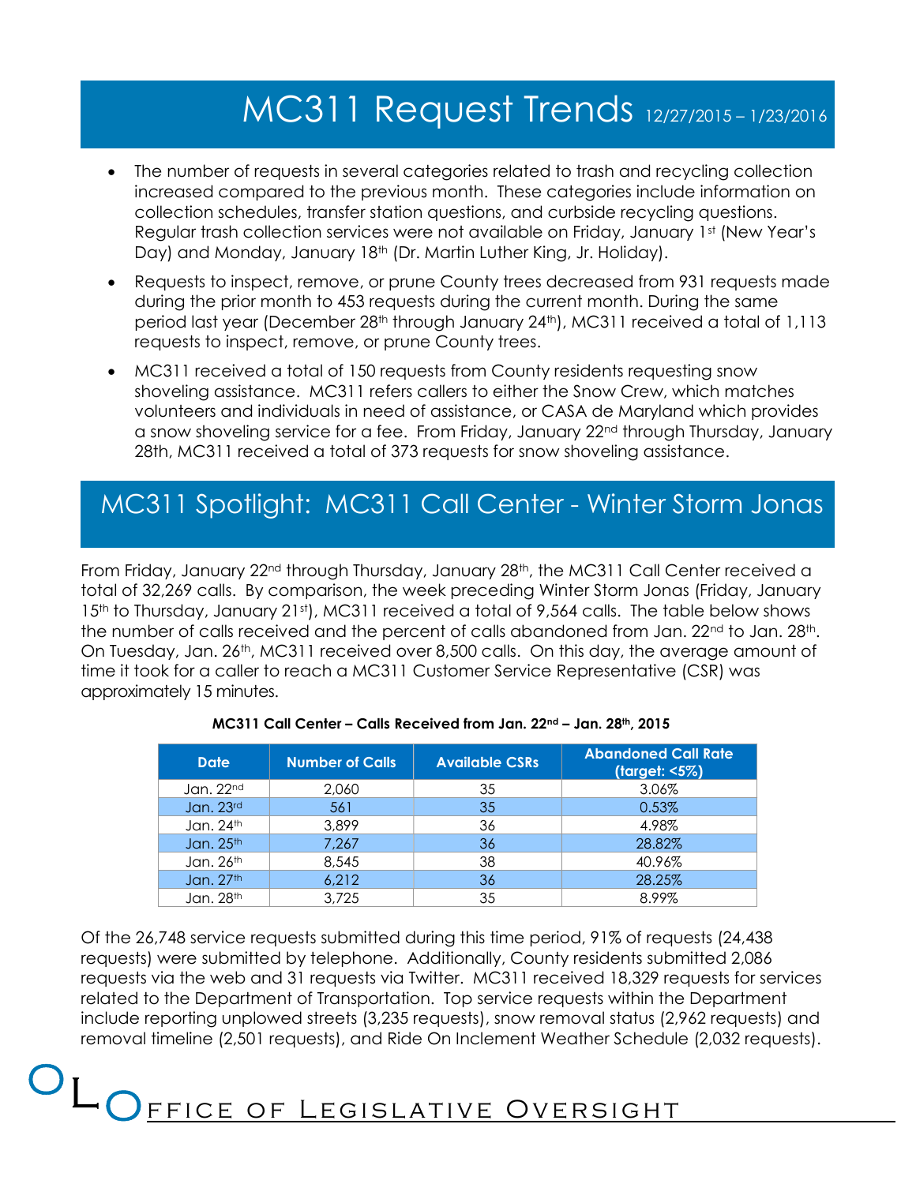# MC311 Request Trends 12/27/2015 – 1/23/2016

- The number of requests in several categories related to trash and recycling collection increased compared to the previous month. These categories include information on collection schedules, transfer station questions, and curbside recycling questions. Regular trash collection services were not available on Friday, January 1st (New Year's Day) and Monday, January 18<sup>th</sup> (Dr. Martin Luther King, Jr. Holiday).
- Requests to inspect, remove, or prune County trees decreased from 931 requests made during the prior month to 453 requests during the current month. During the same period last year (December 28<sup>th</sup> through January 24<sup>th</sup>), MC311 received a total of 1,113 requests to inspect, remove, or prune County trees.
- MC311 received a total of 150 requests from County residents requesting snow shoveling assistance. MC311 refers callers to either the Snow Crew, which matches volunteers and individuals in need of assistance, or CASA de Maryland which provides a snow shoveling service for a fee. From Friday, January 22<sup>nd</sup> through Thursday, January 28th, MC311 received a total of 373 requests for snow shoveling assistance.

## MC311 Spotlight: MC311 Call Center - Winter Storm Jonas

From Friday, January 22<sup>nd</sup> through Thursday, January 28<sup>th</sup>, the MC311 Call Center received a total of 32,269 calls. By comparison, the week preceding Winter Storm Jonas (Friday, January 15<sup>th</sup> to Thursday, January 21st), MC311 received a total of 9,564 calls. The table below shows the number of calls received and the percent of calls abandoned from Jan. 22<sup>nd</sup> to Jan. 28<sup>th</sup>. On Tuesday, Jan. 26th, MC311 received over 8,500 calls. On this day, the average amount of time it took for a caller to reach a MC311 Customer Service Representative (CSR) was approximately 15 minutes.

| Jan. 22nd<br>2,060<br>35<br>3.06%<br>35<br>Jan. 23rd<br>561<br>0.53%<br>Jan. 24th<br>36<br>3,899<br>4.98%<br>Jan. 25th<br>28.82%<br>7,267<br>36<br>Jan. 26 <sup>th</sup><br>8,545<br>38<br>40.96%<br>Jan. 27 <sup>th</sup><br>6,212<br>36<br>28.25%<br>35<br>Jan. 28th<br>3,725<br>8.99%                                                                                                                                                                                                                                     | <b>Date</b> | <b>Number of Calls</b> | <b>Available CSRs</b> | <b>Abandoned Call Rate</b><br>(target: <5%) |
|------------------------------------------------------------------------------------------------------------------------------------------------------------------------------------------------------------------------------------------------------------------------------------------------------------------------------------------------------------------------------------------------------------------------------------------------------------------------------------------------------------------------------|-------------|------------------------|-----------------------|---------------------------------------------|
|                                                                                                                                                                                                                                                                                                                                                                                                                                                                                                                              |             |                        |                       |                                             |
|                                                                                                                                                                                                                                                                                                                                                                                                                                                                                                                              |             |                        |                       |                                             |
|                                                                                                                                                                                                                                                                                                                                                                                                                                                                                                                              |             |                        |                       |                                             |
| 6,748 service requests submitted during this time period, 91% of requests (24,438<br>) were submitted by telephone. Additionally, County residents submitted 2,086<br>via the web and 31 requests via Twitter. MC311 received 18,329 requests for services<br>o the Department of Transportation. Top service requests within the Department<br>reporting unplowed streets (3,235 requests), snow removal status (2,962 requests) and<br>timeline (2,501 requests), and Ride On Inclement Weather Schedule (2,032 requests). |             |                        |                       |                                             |
|                                                                                                                                                                                                                                                                                                                                                                                                                                                                                                                              |             |                        |                       |                                             |
|                                                                                                                                                                                                                                                                                                                                                                                                                                                                                                                              |             |                        |                       |                                             |
|                                                                                                                                                                                                                                                                                                                                                                                                                                                                                                                              |             |                        |                       |                                             |
|                                                                                                                                                                                                                                                                                                                                                                                                                                                                                                                              |             |                        |                       |                                             |

#### MC311 Call Center – Calls Received from Jan. 22nd – Jan. 28th, 2015

Of the 26,748 service requests submitted during this time period, 91% of requests (24,438 requests) were submitted by telephone. Additionally, County residents submitted 2,086 requests via the web and 31 requests via Twitter. MC311 received 18,329 requests for services related to the Department of Transportation. Top service requests within the Department include reporting unplowed streets (3,235 requests), snow removal status (2,962 requests) and removal timeline (2,501 requests), and Ride On Inclement Weather Schedule (2,032 requests).

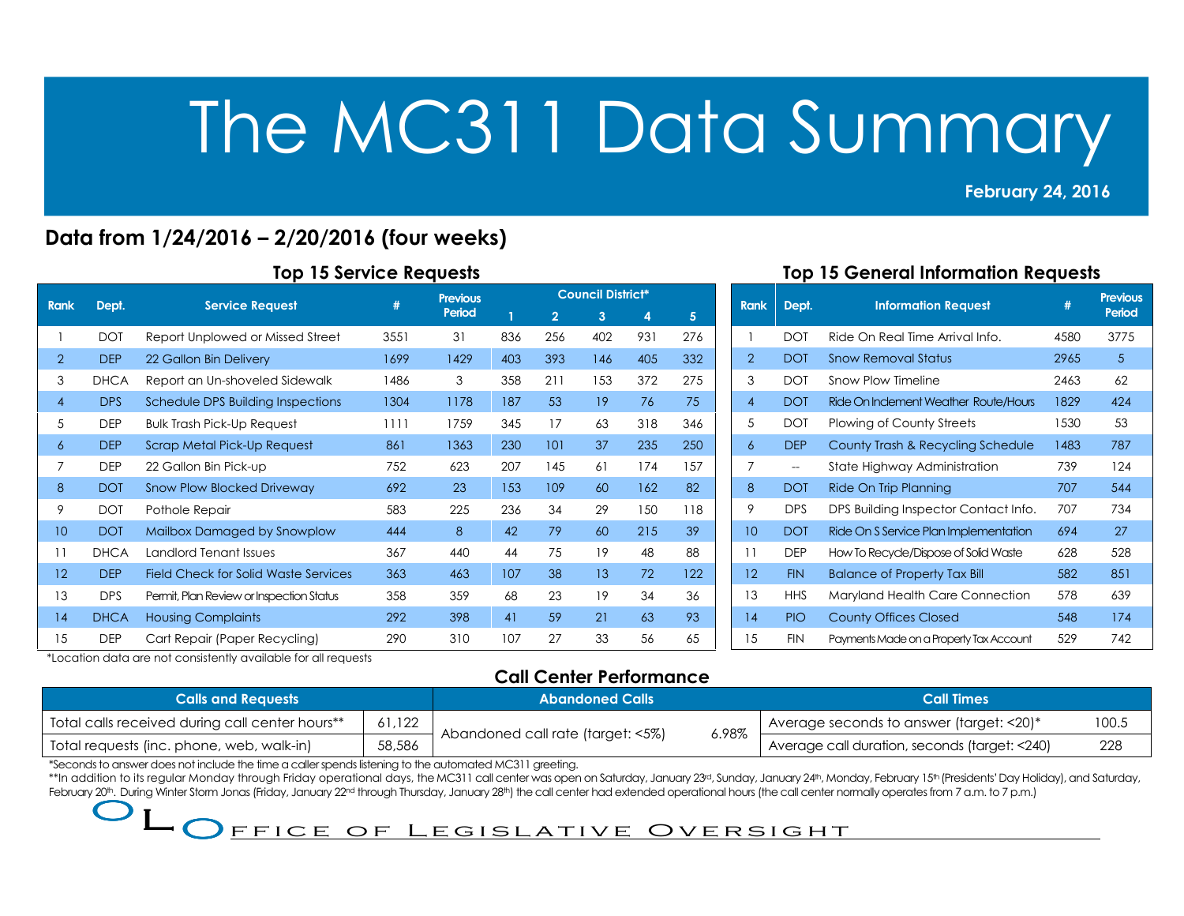## February 24, 2016

2013<br>2013 - Paul Barnett, amerikansk politik<br>2013 - Paul Barnett, amerikansk politik

## Data from 1/24/2016 – 2/20/2016 (four weeks)

#### Top 15 Service Requests

|                |             |                                          | #    | <b>Previous</b> |     |                | <b>Council District*</b> |     |     |
|----------------|-------------|------------------------------------------|------|-----------------|-----|----------------|--------------------------|-----|-----|
| <b>Rank</b>    | Dept.       | <b>Service Request</b>                   |      | Period          |     | $\overline{2}$ | 3                        | 4   | 5   |
|                | <b>DOT</b>  | Report Unplowed or Missed Street         | 3551 | 31              | 836 | 256            | 402                      | 931 | 276 |
| $\overline{2}$ | <b>DEP</b>  | 22 Gallon Bin Delivery                   | 1699 | 1429            | 403 | 393            | 146                      | 405 | 332 |
| 3              | <b>DHCA</b> | Report an Un-shoveled Sidewalk           | 1486 | 3               | 358 | 211            | 153                      | 372 | 275 |
| 4              | <b>DPS</b>  | <b>Schedule DPS Building Inspections</b> | 1304 | 1178            | 187 | 53             | 19                       | 76  | 75  |
| 5              | <b>DEP</b>  | <b>Bulk Trash Pick-Up Request</b>        | 1111 | 1759            | 345 | 17             | 63                       | 318 | 346 |
| 6              | <b>DEP</b>  | Scrap Metal Pick-Up Request              | 861  | 1363            | 230 | 101            | 37                       | 235 | 250 |
| 7              | <b>DEP</b>  | 22 Gallon Bin Pick-up                    | 752  | 623             | 207 | 145            | 61                       | 174 | 157 |
| 8              | <b>DOT</b>  | <b>Snow Plow Blocked Driveway</b>        | 692  | 23              | 153 | 109            | 60                       | 162 | 82  |
| 9              | <b>DOT</b>  | Pothole Repair                           | 583  | 225             | 236 | 34             | 29                       | 150 | 118 |
| 10             | <b>DOT</b>  | Mailbox Damaged by Snowplow              | 444  | 8               | 42  | 79             | 60                       | 215 | 39  |
| 11             | <b>DHCA</b> | Landlord Tenant Issues                   | 367  | 440             | 44  | 75             | 19                       | 48  | 88  |
| 12             | <b>DEP</b>  | Field Check for Solid Waste Services     | 363  | 463             | 107 | 38             | 13                       | 72  | 122 |
| 13             | <b>DPS</b>  | Permit, Plan Review or Inspection Status | 358  | 359             | 68  | 23             | 19                       | 34  | 36  |
| 14             | <b>DHCA</b> | <b>Housing Complaints</b>                | 292  | 398             | 41  | 59             | 21                       | 63  | 93  |
| 15             | <b>DEP</b>  | Cart Repair (Paper Recycling)            | 290  | 310             | 107 | 27             | 33                       | 56  | 65  |

### Top 15 General Information Requests

| <b>Rank</b>       | Dept.                    | <b>Information Request</b>              | #    | <b>Previous</b><br>Period |
|-------------------|--------------------------|-----------------------------------------|------|---------------------------|
| 1                 | <b>DOT</b>               | Ride On Real Time Arrival Info.         | 4580 | 3775                      |
| $\overline{2}$    | <b>DOT</b>               | <b>Snow Removal Status</b>              | 2965 | 5                         |
| 3                 | <b>DOT</b>               | Snow Plow Timeline                      | 2463 | 62                        |
| $\overline{A}$    | <b>DOT</b>               | Ride On Inclement Weather Route/Hours   | 1829 | 424                       |
| 5                 | <b>DOT</b>               | Plowing of County Streets               | 1530 | 53                        |
| 6                 | <b>DEP</b>               | County Trash & Recycling Schedule       | 1483 | 787                       |
| 7                 | $\overline{\phantom{a}}$ | State Highway Administration            | 739  | 124                       |
| 8                 | <b>DOT</b>               | Ride On Trip Planning                   | 707  | 544                       |
| 9                 | <b>DPS</b>               | DPS Building Inspector Contact Info.    | 707  | 734                       |
| 10                | <b>DOT</b>               | Ride On S Service Plan Implementation   | 694  | 27                        |
| 11                | <b>DEP</b>               | How To Recycle/Dispose of Solid Waste   | 628  | 528                       |
| $12 \overline{ }$ | <b>FIN</b>               | <b>Balance of Property Tax Bill</b>     | 582  | 851                       |
| 13                | <b>HHS</b>               | Maryland Health Care Connection         | 578  | 639                       |
| 14                | <b>PIO</b>               | <b>County Offices Closed</b>            | 548  | 174                       |
| 15                | <b>FIN</b>               | Payments Made on a Property Tax Account | 529  | 742                       |

\*Location data are not consistently available for all requests

## Call Center Performance

| <b>Calls and Requests</b>                       |        | <b>Abandoned Calls</b>                     | Call Times                                           |       |  |
|-------------------------------------------------|--------|--------------------------------------------|------------------------------------------------------|-------|--|
| Total calls received during call center hours** | 61.122 |                                            | I Average seconds to answer (target: $\leq$ 20) $^*$ | 100.5 |  |
| Total requests (inc. phone, web, walk-in)       | 58,586 | 6.98%<br>Abandoned call rate (target: <5%) | Average call duration, seconds (target: <240)        | 228   |  |

\*Seconds to answer does not include the time a caller spends listening to the automated MC311 greeting.

\*\*In addition to its regular Monday through Friday operational days, the MC311 call center was open on Saturday, January 23<sup>rd</sup>, Sunday, January 24th, Monday, February 15th (Presidents' Day Holiday), and Saturday, February 20th. During Winter Storm Jonas (Friday, January 22<sup>nd</sup> through Thursday, January 28th) the call center had extended operational hours (the call center normally operates from 7 a.m. to 7 p.m.)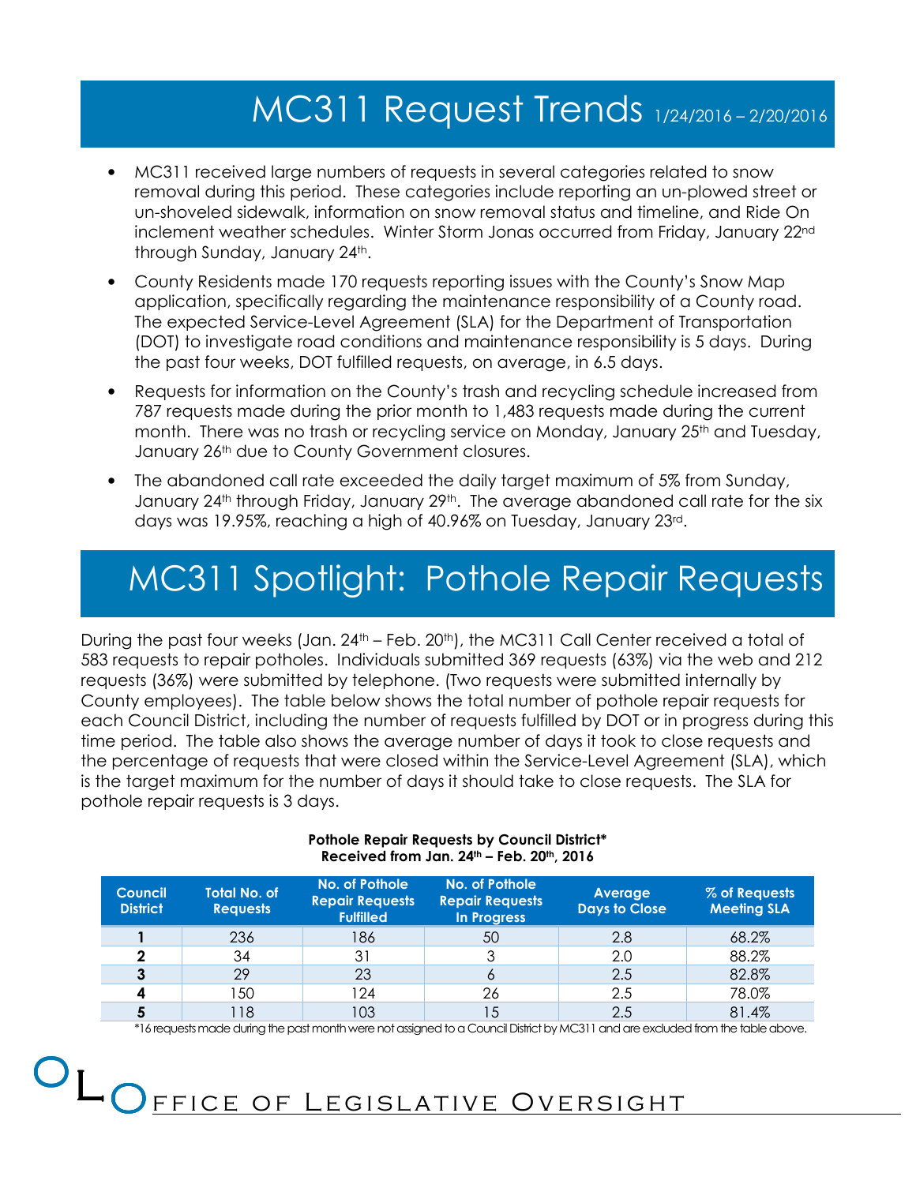# MC311 Request Trends 1/24/2016 – 2/20/2016

- MC311 received large numbers of requests in several categories related to snow removal during this period. These categories include reporting an un-plowed street or un-shoveled sidewalk, information on snow removal status and timeline, and Ride On inclement weather schedules. Winter Storm Jonas occurred from Friday, January 22nd through Sunday, January 24<sup>th</sup>.
- County Residents made 170 requests reporting issues with the County's Snow Map application, specifically regarding the maintenance responsibility of a County road. The expected Service-Level Agreement (SLA) for the Department of Transportation (DOT) to investigate road conditions and maintenance responsibility is 5 days. During the past four weeks, DOT fulfilled requests, on average, in 6.5 days.
- Requests for information on the County's trash and recycling schedule increased from 787 requests made during the prior month to 1,483 requests made during the current month. There was no trash or recycling service on Monday, January 25<sup>th</sup> and Tuesday, January 26<sup>th</sup> due to County Government closures.
- The abandoned call rate exceeded the daily target maximum of 5% from Sunday, January 24<sup>th</sup> through Friday, January 29<sup>th</sup>. The average abandoned call rate for the six days was 19.95%, reaching a high of 40.96% on Tuesday, January 23rd.

# MC311 Spotlight: Pothole Repair Requests

During the past four weeks (Jan. 24<sup>th</sup> – Feb. 20<sup>th</sup>), the MC311 Call Center received a total of 583 requests to repair potholes. Individuals submitted 369 requests (63%) via the web and 212 requests (36%) were submitted by telephone. (Two requests were submitted internally by County employees). The table below shows the total number of pothole repair requests for each Council District, including the number of requests fulfilled by DOT or in progress during this time period. The table also shows the average number of days it took to close requests and the percentage of requests that were closed within the Service-Level Agreement (SLA), which is the target maximum for the number of days it should take to close requests. The SLA for pothole repair requests is 3 days.

| <b>Total No. of</b><br><b>Council</b><br><b>District</b><br><b>Requests</b> |     | No. of Pothole<br><b>Repair Requests</b><br><b>Fulfilled</b> | No. of Pothole<br><b>Repair Requests</b><br>In Progress | Average<br><b>Days to Close</b> | % of Requests<br><b>Meeting SLA</b> |  |
|-----------------------------------------------------------------------------|-----|--------------------------------------------------------------|---------------------------------------------------------|---------------------------------|-------------------------------------|--|
|                                                                             | 236 | 186                                                          | 50                                                      | 2.8                             | 68.2%                               |  |
|                                                                             | 34  | 31                                                           |                                                         | 2.0                             | 88.2%                               |  |
|                                                                             | 29  | 23                                                           | O                                                       | 2.5                             | 82.8%                               |  |
|                                                                             | 150 | 124                                                          | 26                                                      | 2.5                             | 78.0%                               |  |
|                                                                             | 118 | 03                                                           | 15                                                      | 2.5                             | 81.4%                               |  |

#### Pothole Repair Requests by Council District\* Received from Jan.  $24<sup>th</sup>$  – Feb.  $20<sup>th</sup>$ ,  $2016$

\*16 requests made during the past month were not assigned to a Council District by MC311 and are excluded from the table above.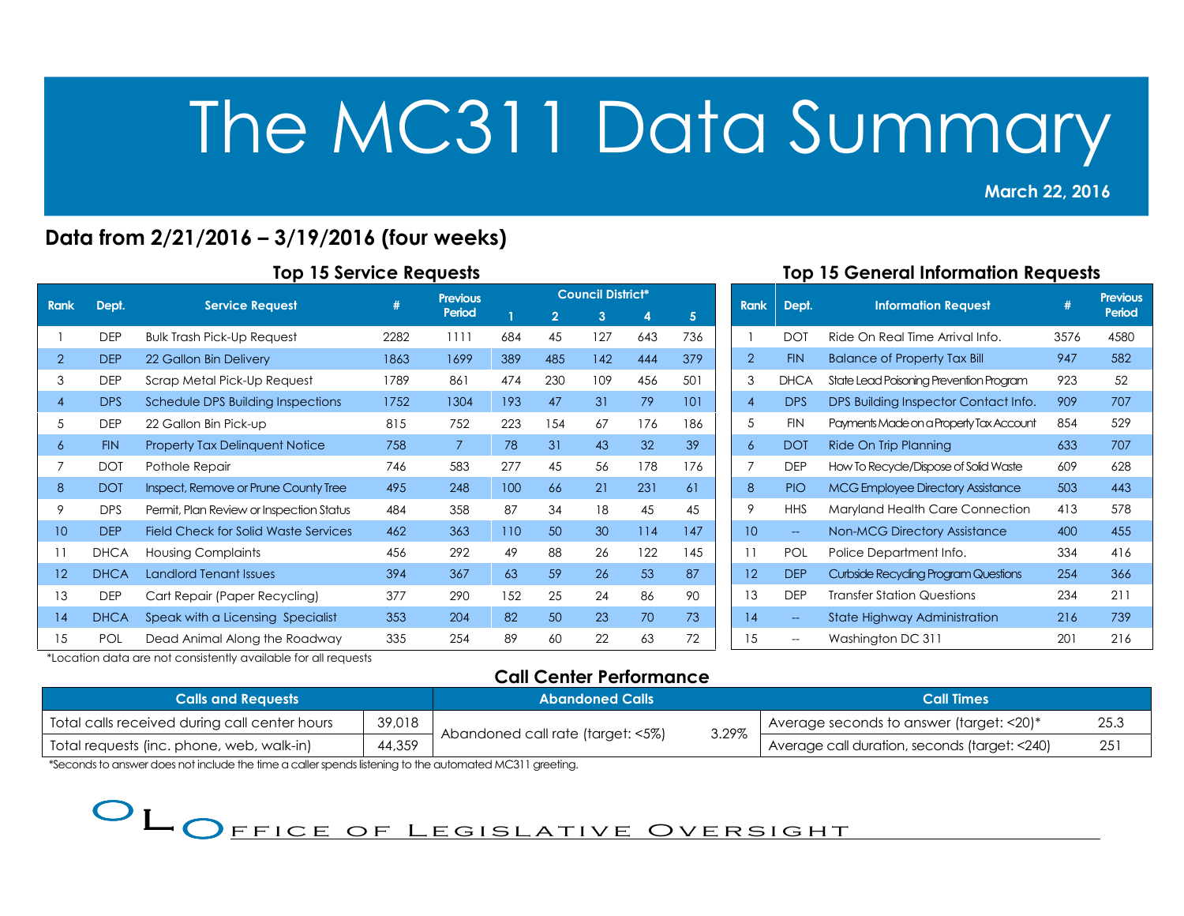## Data from 2/21/2016 – 3/19/2016 (four weeks)

|                |             |                                          |      | <b>Previous</b> |     |                | <b>Council District*</b> |     |                |
|----------------|-------------|------------------------------------------|------|-----------------|-----|----------------|--------------------------|-----|----------------|
| <b>Rank</b>    | Dept.       | <b>Service Request</b>                   | #    | Period          | 1   | $\overline{2}$ | 3                        | 4   | 5 <sup>5</sup> |
|                | <b>DEP</b>  | <b>Bulk Trash Pick-Up Request</b>        | 2282 | 1111            | 684 | 45             | 127                      | 643 | 736            |
| 2              | <b>DEP</b>  | 22 Gallon Bin Delivery                   | 1863 | 1699            | 389 | 485            | 142                      | 444 | 379            |
| 3              | <b>DEP</b>  | Scrap Metal Pick-Up Request              | 1789 | 861             | 474 | 230            | 109                      | 456 | 501            |
| $\overline{4}$ | <b>DPS</b>  | Schedule DPS Building Inspections        | 1752 | 1304            | 193 | 47             | 31                       | 79  | 101            |
| 5              | <b>DEP</b>  | 22 Gallon Bin Pick-up                    | 815  | 752             | 223 | 154            | 67                       | 176 | 186            |
| 6              | <b>FIN</b>  | <b>Property Tax Delinquent Notice</b>    | 758  | $\overline{7}$  | 78  | 31             | 43                       | 32  | 39             |
| 7              | <b>DOT</b>  | Pothole Repair                           | 746  | 583             | 277 | 45             | 56                       | 178 | 176            |
| 8              | <b>DOT</b>  | Inspect, Remove or Prune County Tree     | 495  | 248             | 100 | 66             | 21                       | 231 | 61             |
| 9              | <b>DPS</b>  | Permit, Plan Review or Inspection Status | 484  | 358             | 87  | 34             | 18                       | 45  | 45             |
| 10             | <b>DEP</b>  | Field Check for Solid Waste Services     | 462  | 363             | 110 | 50             | 30                       | 114 | 147            |
| 11             | <b>DHCA</b> | <b>Housing Complaints</b>                | 456  | 292             | 49  | 88             | 26                       | 122 | 145            |
| 12             | <b>DHCA</b> | <b>Landlord Tenant Issues</b>            | 394  | 367             | 63  | 59             | 26                       | 53  | 87             |
| 13             | <b>DEP</b>  | Cart Repair (Paper Recycling)            | 377  | 290             | 152 | 25             | 24                       | 86  | 90             |
| 14             | <b>DHCA</b> | Speak with a Licensing Specialist        | 353  | 204             | 82  | 50             | 23                       | 70  | 73             |
| 15             | POL         | Dead Animal Along the Roadway            | 335  | 254             | 89  | 60             | 22                       | 63  | 72             |

### Top 15 General Information Requests

March 22, 2016

2013<br>2013 - Paul Barnett, amerikansk politik<br>2013 - Paul Barnett, amerikansk politik

| <b>Rank</b>    | Dept.       | <b>Information Request</b>               | #    | <b>Previous</b><br>Period |
|----------------|-------------|------------------------------------------|------|---------------------------|
| 1              | <b>DOT</b>  | Ride On Real Time Arrival Info.          | 3576 | 4580                      |
| $\overline{2}$ | <b>FIN</b>  | <b>Balance of Property Tax Bill</b>      | 947  | 582                       |
| 3              | <b>DHCA</b> | State Lead Poisoning Prevention Program  | 923  | 52                        |
| $\overline{A}$ | <b>DPS</b>  | DPS Building Inspector Contact Info.     | 909  | 707                       |
| 5              | <b>FIN</b>  | Payments Made on a Property Tax Account  | 854  | 529                       |
| 6              | <b>DOT</b>  | Ride On Trip Planning                    | 633  | 707                       |
| 7              | <b>DFP</b>  | How To Recycle/Dispose of Solid Waste    | 609  | 628                       |
| 8              | <b>PIO</b>  | <b>MCG Employee Directory Assistance</b> | 503  | 443                       |
| 9              | <b>HHS</b>  | Maryland Health Care Connection          | 413  | 578                       |
| 10             | $\perp$     | <b>Non-MCG Directory Assistance</b>      | 400  | 455                       |
| 11             | POL         | Police Department Info.                  | 334  | 416                       |
| 12             | <b>DEP</b>  | Curbside Recycling Program Questions     | 254  | 366                       |
| 13             | <b>DEP</b>  | Transfer Station Questions               | 234  | 211                       |
| 14             |             | State Highway Administration             | 216  | 739                       |
| 15             |             | Washington DC 311                        | 201  | 216                       |

\*Location data are not consistently available for all requests

## Call Center Performance

| <b>Calls and Requests</b>                               |        | <b>Abandoned Calls</b>            |       | <b>Call Times</b>                                |     |  |
|---------------------------------------------------------|--------|-----------------------------------|-------|--------------------------------------------------|-----|--|
| 39,018<br>Total calls received during call center hours |        |                                   |       | 25.3<br>Average seconds to answer (target: <20)* |     |  |
| Total requests (inc. phone, web, walk-in)               | 44,359 | Abandoned call rate (target: <5%) | 3.29% | Average call duration, seconds (target: <240)    | 251 |  |

\*Seconds to answer does not include the time a caller spends listening to the automated MC311 greeting.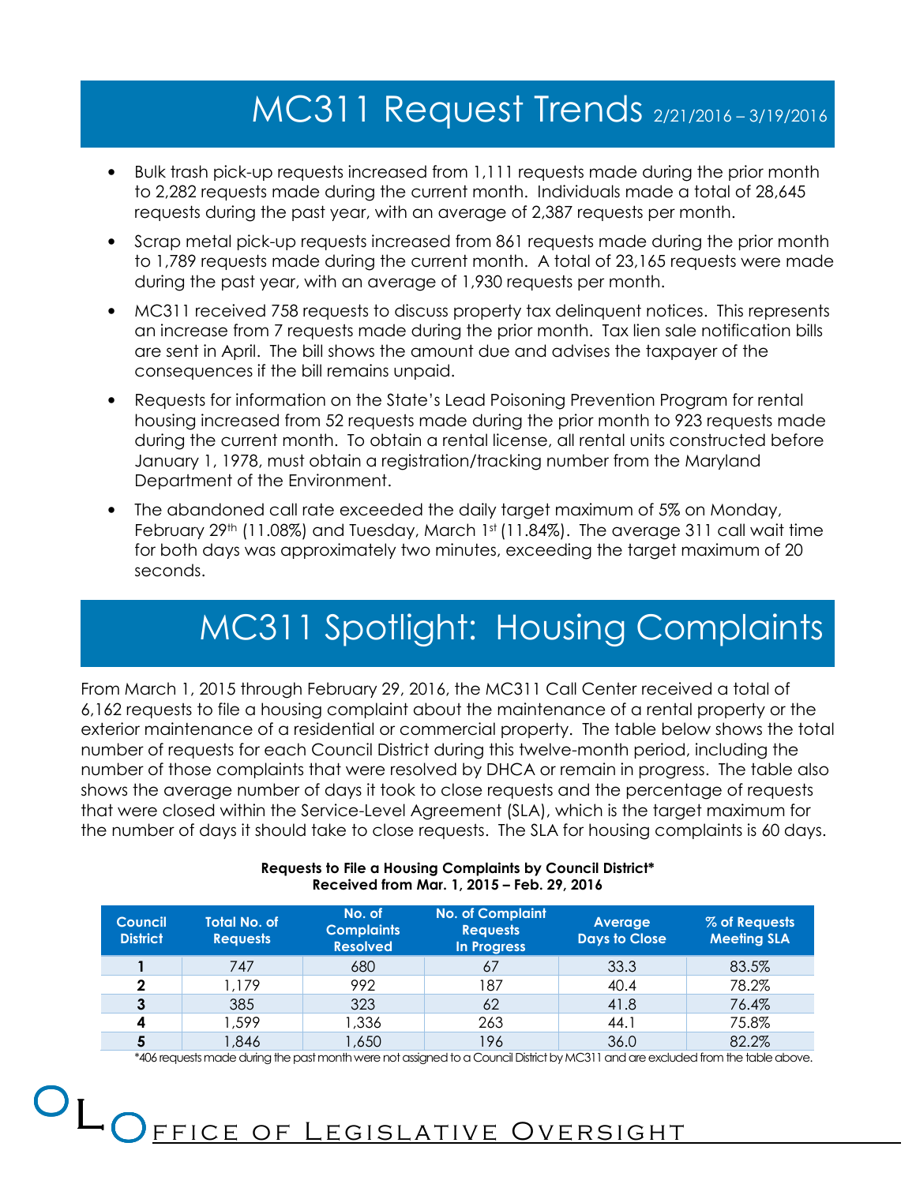# MC311 Request Trends 2/21/2016 – 3/19/2016

- Bulk trash pick-up requests increased from 1,111 requests made during the prior month to 2,282 requests made during the current month. Individuals made a total of 28,645 requests during the past year, with an average of 2,387 requests per month.
- Scrap metal pick-up requests increased from 861 requests made during the prior month to 1,789 requests made during the current month. A total of 23,165 requests were made during the past year, with an average of 1,930 requests per month.
- MC311 received 758 requests to discuss property tax delinquent notices. This represents an increase from 7 requests made during the prior month. Tax lien sale notification bills are sent in April. The bill shows the amount due and advises the taxpayer of the consequences if the bill remains unpaid.
- Requests for information on the State's Lead Poisoning Prevention Program for rental housing increased from 52 requests made during the prior month to 923 requests made during the current month. To obtain a rental license, all rental units constructed before January 1, 1978, must obtain a registration/tracking number from the Maryland Department of the Environment.
- The abandoned call rate exceeded the daily target maximum of 5% on Monday, February 29<sup>th</sup> (11.08%) and Tuesday, March 1st (11.84%). The average 311 call wait time for both days was approximately two minutes, exceeding the target maximum of 20 seconds.

# MC311 Spotlight: Housing Complaints

From March 1, 2015 through February 29, 2016, the MC311 Call Center received a total of 6,162 requests to file a housing complaint about the maintenance of a rental property or the exterior maintenance of a residential or commercial property. The table below shows the total number of requests for each Council District during this twelve-month period, including the number of those complaints that were resolved by DHCA or remain in progress. The table also shows the average number of days it took to close requests and the percentage of requests that were closed within the Service-Level Agreement (SLA), which is the target maximum for the number of days it should take to close requests. The SLA for housing complaints is 60 days.

| <b>Council</b><br><b>District</b> | <b>Total No. of</b><br><b>Requests</b> | No. of<br><b>Complaints</b><br><b>Resolved</b> | <b>No. of Complaint</b><br><b>Requests</b><br>In Progress | Average<br><b>Days to Close</b> | % of Requests<br><b>Meeting SLA</b> |  |
|-----------------------------------|----------------------------------------|------------------------------------------------|-----------------------------------------------------------|---------------------------------|-------------------------------------|--|
|                                   | 747                                    | 680                                            | 67                                                        | 33.3                            | 83.5%                               |  |
| $\mathbf{2}$                      | 1,179                                  | 992                                            | 187                                                       | 40.4                            | 78.2%                               |  |
|                                   | 385                                    | 323                                            | 62                                                        | 41.8                            | 76.4%                               |  |
| 4                                 | 599, ا                                 | 1,336                                          | 263                                                       | 44.1                            | 75.8%                               |  |
|                                   | 846, ا                                 | 1,650                                          | 196                                                       | 36.0                            | 82.2%                               |  |

#### Requests to File a Housing Complaints by Council District\* Received from Mar. 1, 2015 – Feb. 29, 2016

\*406 requests made during the past month were not assigned to a Council District by MC311 and are excluded from the table above.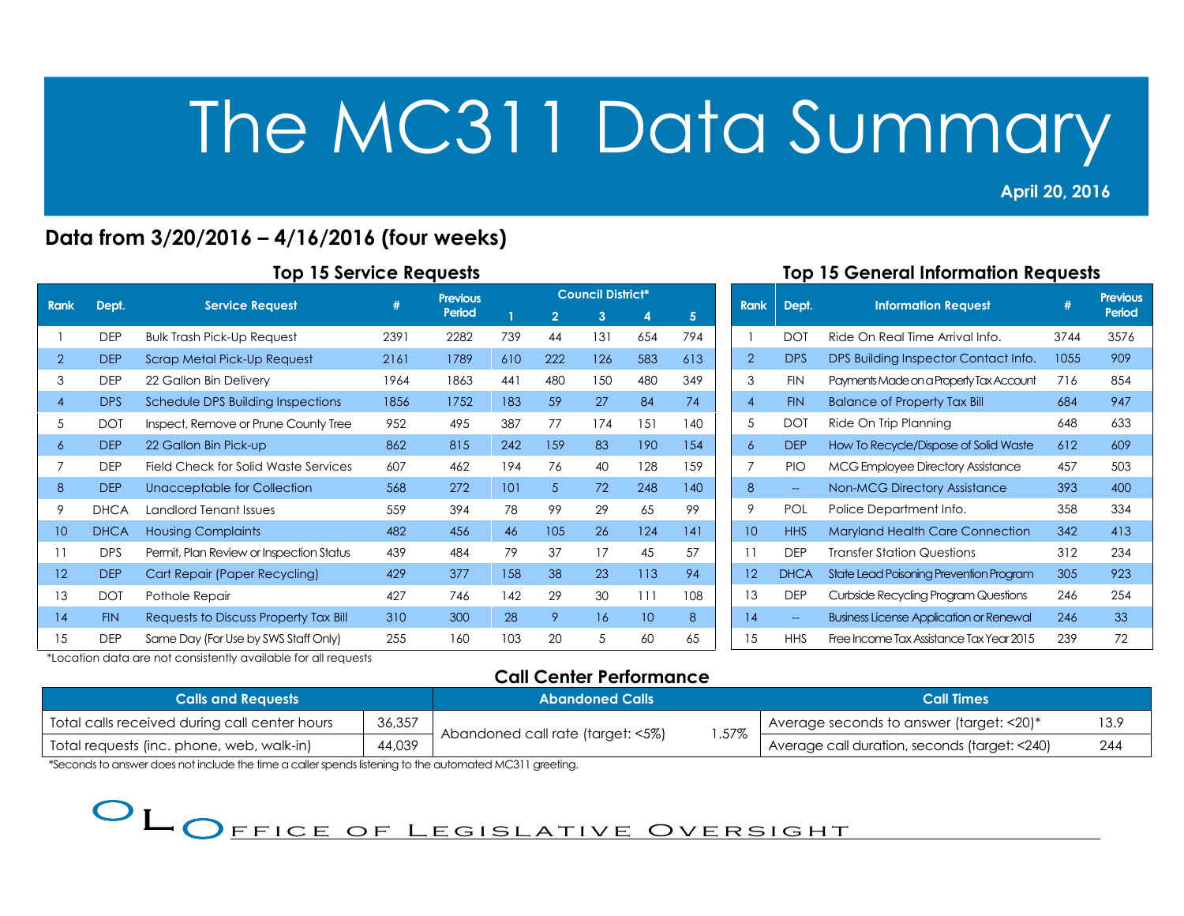## Data from 3/20/2016 – 4/16/2016 (four weeks)

| <b>Rank</b> |             |                                          | #    | <b>Previous</b> |     | <b>Council District*</b> |     |     |     |  |  |
|-------------|-------------|------------------------------------------|------|-----------------|-----|--------------------------|-----|-----|-----|--|--|
|             | Dept.       | <b>Service Request</b>                   |      | Period          | T   | $\overline{2}$           | 3   | 4   | 5   |  |  |
|             | <b>DEP</b>  | <b>Bulk Trash Pick-Up Request</b>        | 2391 | 2282            | 739 | 44                       | 131 | 654 | 794 |  |  |
| 2           | <b>DEP</b>  | <b>Scrap Metal Pick-Up Request</b>       | 2161 | 1789            | 610 | 222                      | 126 | 583 | 613 |  |  |
| 3           | <b>DEP</b>  | 22 Gallon Bin Delivery                   | 1964 | 1863            | 441 | 480                      | 150 | 480 | 349 |  |  |
| 4           | <b>DPS</b>  | Schedule DPS Building Inspections        | 1856 | 1752            | 183 | 59                       | 27  | 84  | 74  |  |  |
| 5           | <b>DOT</b>  | Inspect, Remove or Prune County Tree     | 952  | 495             | 387 | 77                       | 174 | 151 | 140 |  |  |
| 6           | <b>DEP</b>  | 22 Gallon Bin Pick-up                    | 862  | 815             | 242 | 159                      | 83  | 190 | 154 |  |  |
| 7           | <b>DEP</b>  | Field Check for Solid Waste Services     | 607  | 462             | 194 | 76                       | 40  | 128 | 159 |  |  |
| 8           | <b>DEP</b>  | Unacceptable for Collection              | 568  | 272             | 101 | 5.                       | 72  | 248 | 140 |  |  |
| 9           | <b>DHCA</b> | Landlord Tenant Issues                   | 559  | 394             | 78  | 99                       | 29  | 65  | 99  |  |  |
| 10          | <b>DHCA</b> | <b>Housing Complaints</b>                | 482  | 456             | 46  | 105                      | 26  | 124 | 4   |  |  |
| 11          | <b>DPS</b>  | Permit, Plan Review or Inspection Status | 439  | 484             | 79  | 37                       | 17  | 45  | 57  |  |  |
| 12          | <b>DEP</b>  | Cart Repair (Paper Recycling)            | 429  | 377             | 158 | 38                       | 23  | 113 | 94  |  |  |
| 13          | <b>DOT</b>  | Pothole Repair                           | 427  | 746             | 142 | 29                       | 30  | 111 | 108 |  |  |
| 14          | <b>FIN</b>  | Requests to Discuss Property Tax Bill    | 310  | 300             | 28  | 9                        | 16  | 10  | 8   |  |  |
| 15          | <b>DEP</b>  | Same Day (For Use by SWS Staff Only)     | 255  | 160             | 103 | 20                       | 5   | 60  | 65  |  |  |

#### Top 15 General Information Requests

April 20, 2016

2013<br>2013 - Paul Barnett, amerikansk politik<br>2013 - Paul Barnett, amerikansk politik

| <b>Rank</b>       | Dept.                    | <b>Information Request</b>                     | #    | <b>Previous</b><br>Period |
|-------------------|--------------------------|------------------------------------------------|------|---------------------------|
| 1                 | <b>DOT</b>               | Ride On Real Time Arrival Info.                | 3744 | 3576                      |
| $\overline{2}$    | <b>DPS</b>               | DPS Building Inspector Contact Info.           | 1055 | 909                       |
| 3                 | <b>FIN</b>               | Payments Made on a Property Tax Account        | 716  | 854                       |
| $\overline{4}$    | <b>FIN</b>               | <b>Balance of Property Tax Bill</b>            | 684  | 947                       |
| 5                 | <b>DOT</b>               | Ride On Trip Planning                          | 648  | 633                       |
| 6                 | <b>DEP</b>               | How To Recycle/Dispose of Solid Waste          | 612  | 609                       |
| 7                 | <b>PIO</b>               | <b>MCG Employee Directory Assistance</b>       | 457  | 503                       |
| 8                 | $\overline{\phantom{0}}$ | <b>Non-MCG Directory Assistance</b>            | 393  | 400                       |
| 9                 | <b>POL</b>               | Police Department Info.                        | 358  | 334                       |
| 10                | <b>HHS</b>               | <b>Maryland Health Care Connection</b>         | 342  | 413                       |
| 11                | <b>DEP</b>               | Transfer Station Questions                     | 312  | 234                       |
| $12 \overline{ }$ | <b>DHCA</b>              | State Lead Poisoning Prevention Program        | 305  | 923                       |
| 13                | <b>DEP</b>               | Curbside Recycling Program Questions           | 246  | 254                       |
| 14                | --                       | <b>Business License Application or Renewal</b> | 246  | 33                        |
| 15                | <b>HHS</b>               | Free Income Tax Assistance Tax Year 2015       | 239  | 72                        |

\*Location data are not consistently available for all requests

## Call Center Performance

| <b>Calls and Requests</b>                     |        | <b>Abandoned Calls</b>                    | <b>Call Times</b>                                    |  |  |
|-----------------------------------------------|--------|-------------------------------------------|------------------------------------------------------|--|--|
| Total calls received during call center hours | 36,357 |                                           | 13.9<br>Average seconds to answer (target: <20)*     |  |  |
| Total requests (inc. phone, web, walk-in)     | 44,039 | .57%<br>Abandoned call rate (target: <5%) | Average call duration, seconds (target: <240)<br>244 |  |  |

\*Seconds to answer does not include the time a caller spends listening to the automated MC311 greeting.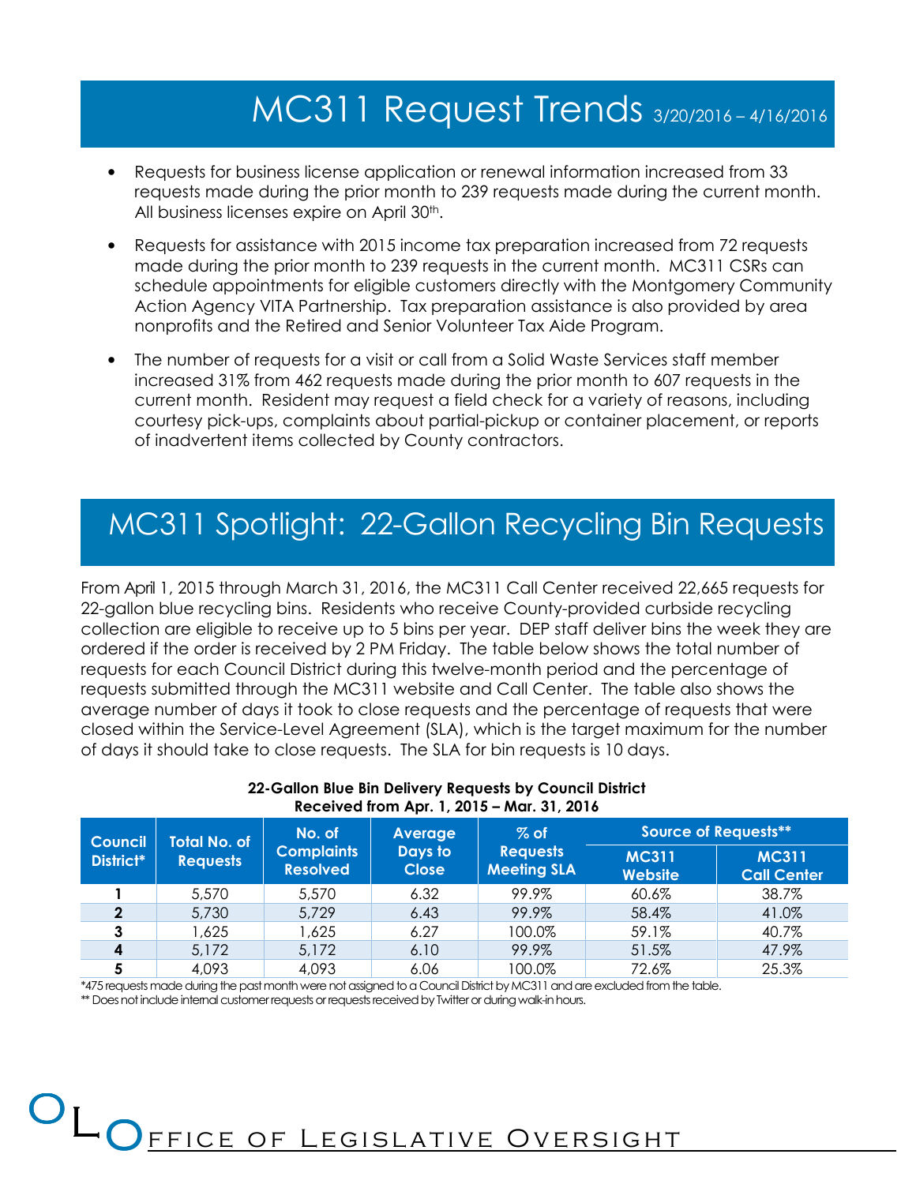## MC311 Request Trends 3/20/2016 – 4/16/2016

- Requests for business license application or renewal information increased from 33 requests made during the prior month to 239 requests made during the current month. All business licenses expire on April 30<sup>th</sup>.
- Requests for assistance with 2015 income tax preparation increased from 72 requests made during the prior month to 239 requests in the current month. MC311 CSRs can schedule appointments for eligible customers directly with the Montgomery Community Action Agency VITA Partnership. Tax preparation assistance is also provided by area nonprofits and the Retired and Senior Volunteer Tax Aide Program.
- The number of requests for a visit or call from a Solid Waste Services staff member increased 31% from 462 requests made during the prior month to 607 requests in the current month. Resident may request a field check for a variety of reasons, including courtesy pick-ups, complaints about partial-pickup or container placement, or reports of inadvertent items collected by County contractors.

## MC311 Spotlight: 22-Gallon Recycling Bin Requests

From April 1, 2015 through March 31, 2016, the MC311 Call Center received 22,665 requests for 22-gallon blue recycling bins. Residents who receive County-provided curbside recycling collection are eligible to receive up to 5 bins per year. DEP staff deliver bins the week they are ordered if the order is received by 2 PM Friday. The table below shows the total number of requests for each Council District during this twelve-month period and the percentage of requests submitted through the MC311 website and Call Center. The table also shows the average number of days it took to close requests and the percentage of requests that were closed within the Service-Level Agreement (SLA), which is the target maximum for the number of days it should take to close requests. The SLA for bin requests is 10 days.

| <b>Council</b> | <b>Total No. of</b> | No. of            | Average      | $%$ of             |              | Source of Requests** |  |  |
|----------------|---------------------|-------------------|--------------|--------------------|--------------|----------------------|--|--|
| District*      | <b>Requests</b>     | <b>Complaints</b> | Days to      | <b>Requests</b>    | <b>MC311</b> | <b>MC311</b>         |  |  |
|                |                     | <b>Resolved</b>   | <b>Close</b> | <b>Meeting SLA</b> | Website      | <b>Call Center</b>   |  |  |
|                | 5,570               | 5,570             | 6.32         | 99.9%              | 60.6%        | 38.7%                |  |  |
| 2              | 5,730               | 5,729             | 6.43         | 99.9%              | 58.4%        | 41.0%                |  |  |
| 3              | 1,625               | .625 ا            | 6.27         | 100.0%             | 59.1%        | 40.7%                |  |  |
| 4              | 5,172               | 5,172             | 6.10         | 99.9%              | 51.5%        | 47.9%                |  |  |
| 5              | 4,093               | 4,093             | 6.06         | 100.0%             | 72.6%        | 25.3%                |  |  |

#### 22-Gallon Blue Bin Delivery Requests by Council District Received from Apr. 1, 2015 – Mar. 31, 2016

\*475 requests made during the past month were not assigned to a Council District by MC311 and are excluded from the table.

ce of Legislativ<u>e Oversight</u>

\*\* Does not include internal customer requests or requests received by Twitter or during walk-in hours.

OLOEE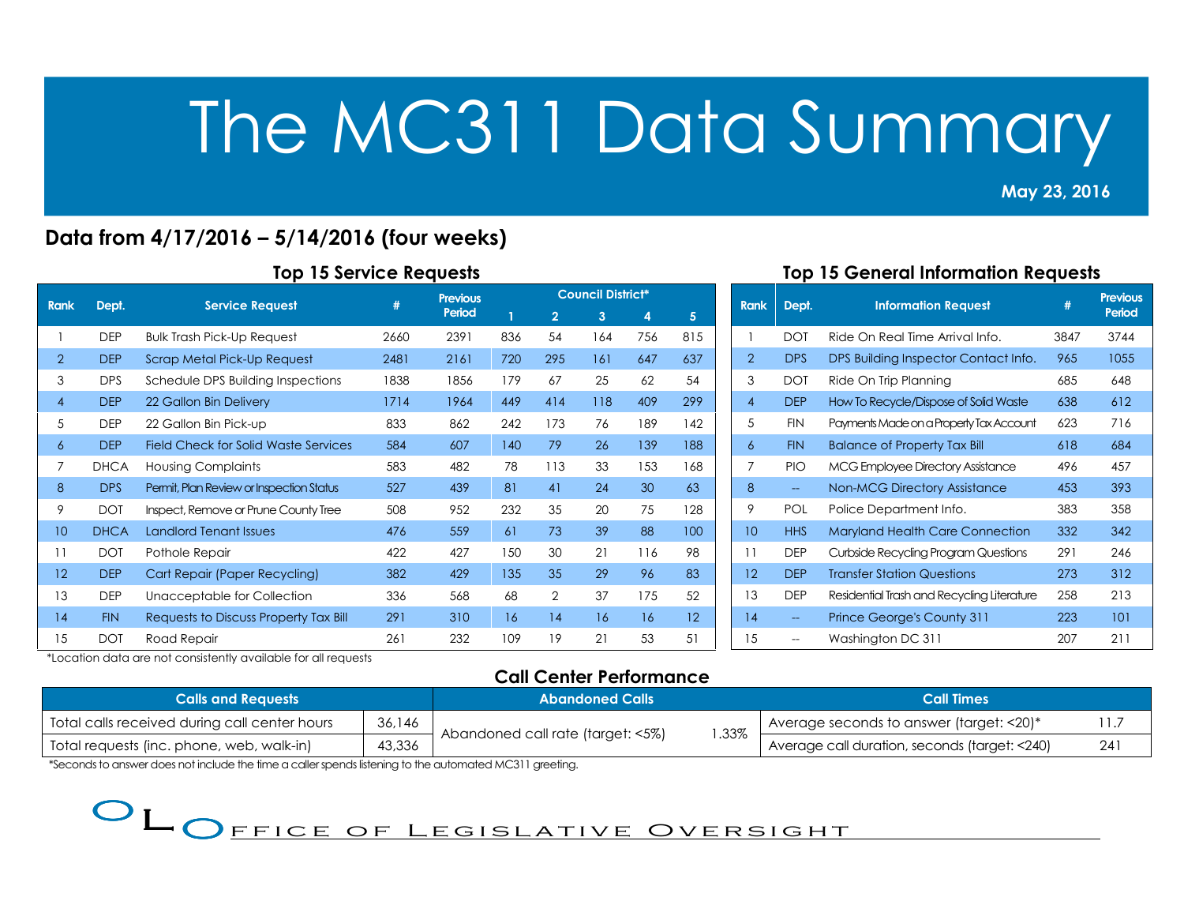May 23, 2016 2013<br>2013 - Paul Barnett, amerikansk politik<br>2013 - Paul Barnett, amerikansk politik

## Data from 4/17/2016 – 5/14/2016 (four weeks)

| <b>Rank</b> |             |                                             | #    | <b>Previous</b> |     |                | <b>Council District*</b> |     |                   |
|-------------|-------------|---------------------------------------------|------|-----------------|-----|----------------|--------------------------|-----|-------------------|
|             | Dept.       | <b>Service Request</b>                      |      | Period          |     | $\overline{2}$ | 3                        | 4   | 5 <sup>5</sup>    |
|             | <b>DEP</b>  | <b>Bulk Trash Pick-Up Request</b>           | 2660 | 2391            | 836 | 54             | 164                      | 756 | 815               |
| 2           | <b>DEP</b>  | Scrap Metal Pick-Up Request                 | 2481 | 2161            | 720 | 295            | 161                      | 647 | 637               |
| 3           | <b>DPS</b>  | Schedule DPS Building Inspections           | 1838 | 1856            | 179 | 67             | 25                       | 62  | 54                |
| 4           | <b>DEP</b>  | 22 Gallon Bin Delivery                      | 1714 | 1964            | 449 | 414            | 118                      | 409 | 299               |
| 5           | <b>DEP</b>  | 22 Gallon Bin Pick-up                       | 833  | 862             | 242 | 173            | 76                       | 189 | 142               |
| 6           | <b>DEP</b>  | <b>Field Check for Solid Waste Services</b> | 584  | 607             | 140 | 79             | 26                       | 139 | 188               |
| 7           | <b>DHCA</b> | <b>Housing Complaints</b>                   | 583  | 482             | 78  | 113            | 33                       | 153 | 168               |
| 8           | <b>DPS</b>  | Permit, Plan Review or Inspection Status    | 527  | 439             | 81  | 41             | 24                       | 30  | 63                |
| 9           | <b>DOT</b>  | Inspect, Remove or Prune County Tree        | 508  | 952             | 232 | 35             | 20                       | 75  | 128               |
| 10          | <b>DHCA</b> | <b>Landlord Tenant Issues</b>               | 476  | 559             | 61  | 73             | 39                       | 88  | 100               |
| 11          | <b>DOT</b>  | Pothole Repair                              | 422  | 427             | 150 | 30             | 21                       | 116 | 98                |
| 12          | <b>DEP</b>  | Cart Repair (Paper Recycling)               | 382  | 429             | 135 | 35             | 29                       | 96  | 83                |
| 13          | <b>DEP</b>  | Unacceptable for Collection                 | 336  | 568             | 68  | 2              | 37                       | 175 | 52                |
| 14          | <b>FIN</b>  | Requests to Discuss Property Tax Bill       | 291  | 310             | 16  | 14             | 16                       | 16  | $12 \overline{ }$ |
| 15          | <b>DOT</b>  | Road Repair                                 | 261  | 232             | 109 | 19             | 21                       | 53  | 51                |

### Top 15 General Information Requests

| <b>Rank</b>       | Dept.                    | <b>Information Request</b>                 | #    | <b>Previous</b><br>Period |
|-------------------|--------------------------|--------------------------------------------|------|---------------------------|
| 1                 | <b>DOT</b>               | Ride On Real Time Arrival Info.            | 3847 | 3744                      |
| $\overline{2}$    | <b>DPS</b>               | DPS Building Inspector Contact Info.       | 965  | 1055                      |
| 3                 | <b>DOT</b>               | Ride On Trip Planning                      | 685  | 648                       |
| $\overline{4}$    | <b>DEP</b>               | How To Recycle/Dispose of Solid Waste      | 638  | 612                       |
| 5                 | <b>FIN</b>               | Payments Made on a Property Tax Account    | 623  | 716                       |
| 6                 | <b>FIN</b>               | <b>Balance of Property Tax Bill</b>        | 618  | 684                       |
| 7                 | <b>PIO</b>               | <b>MCG Employee Directory Assistance</b>   | 496  | 457                       |
| 8                 | $\overline{\phantom{a}}$ | <b>Non-MCG Directory Assistance</b>        | 453  | 393                       |
| 9                 | <b>POL</b>               | Police Department Info.                    | 383  | 358                       |
| 10                | <b>HHS</b>               | <b>Maryland Health Care Connection</b>     | 332  | 342                       |
| 11                | <b>DEP</b>               | Curbside Recycling Program Questions       | 291  | 246                       |
| $12 \overline{ }$ | <b>DEP</b>               | <b>Transfer Station Questions</b>          | 273  | 312                       |
| 13                | <b>DEP</b>               | Residential Trash and Recycling Literature | 258  | 213                       |
| 14                |                          | <b>Prince George's County 311</b>          | 223  | 101                       |
| 15                |                          | Washington DC 311                          | 207  | 211                       |

\*Location data are not consistently available for all requests

## Call Center Performance

| <b>Calls and Requests</b>                     | <b>Abandoned Calls</b> |                                   | <b>Call Times</b> |                                                |            |
|-----------------------------------------------|------------------------|-----------------------------------|-------------------|------------------------------------------------|------------|
| Total calls received during call center hours | 36,146                 |                                   |                   | Average seconds to answer (target: $<$ 20) $*$ |            |
| Total requests (inc. phone, web, walk-in)     | 43,336                 | Abandoned call rate (target: <5%) | .33%              | Average call duration, seconds (target: <240)  | $24^\circ$ |

\*Seconds to answer does not include the time a caller spends listening to the automated MC311 greeting.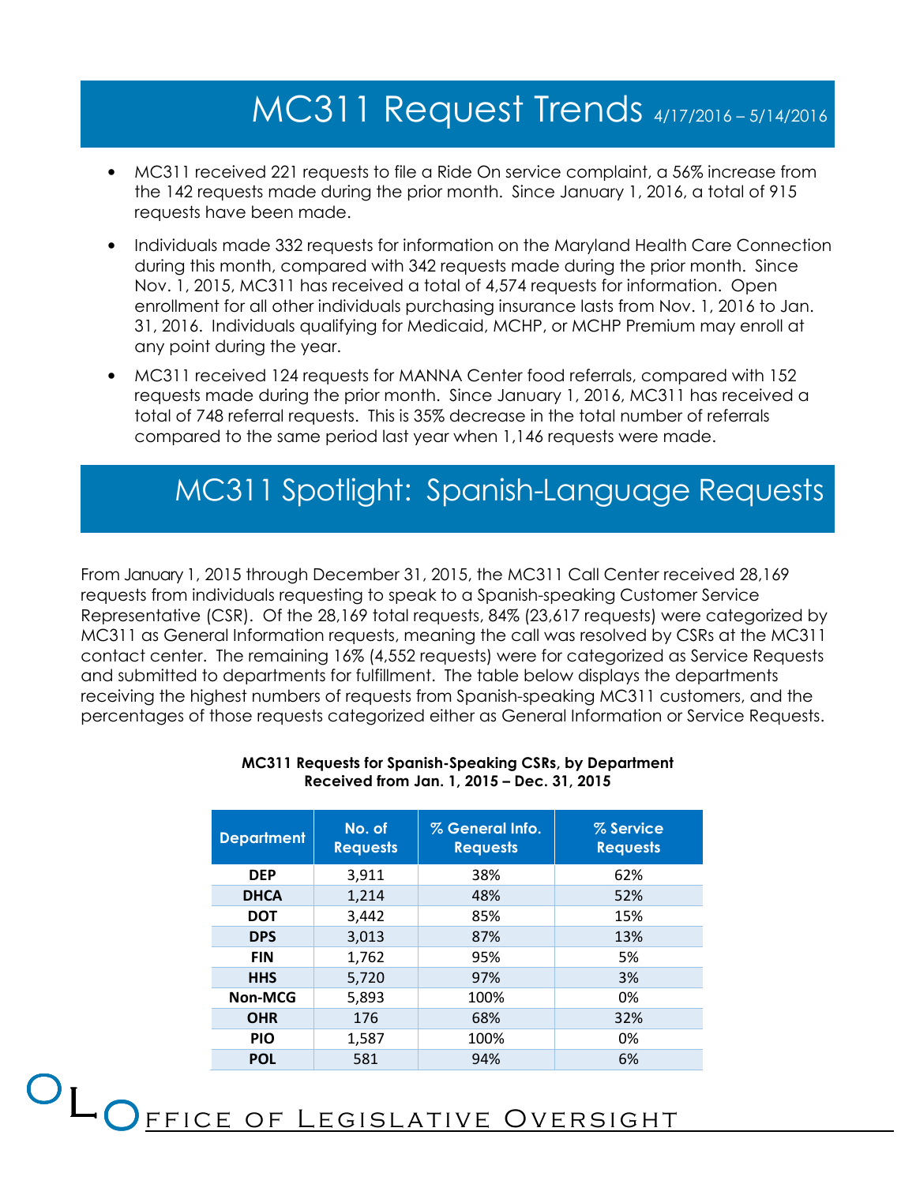## MC311 Request Trends 4/17/2016 – 5/14/2016

- MC311 received 221 requests to file a Ride On service complaint, a 56% increase from the 142 requests made during the prior month. Since January 1, 2016, a total of 915 requests have been made.
- Individuals made 332 requests for information on the Maryland Health Care Connection during this month, compared with 342 requests made during the prior month. Since Nov. 1, 2015, MC311 has received a total of 4,574 requests for information. Open enrollment for all other individuals purchasing insurance lasts from Nov. 1, 2016 to Jan. 31, 2016. Individuals qualifying for Medicaid, MCHP, or MCHP Premium may enroll at any point during the year.
- MC311 received 124 requests for MANNA Center food referrals, compared with 152 requests made during the prior month. Since January 1, 2016, MC311 has received a total of 748 referral requests. This is 35% decrease in the total number of referrals compared to the same period last year when 1,146 requests were made.

## MC311 Spotlight: Spanish-Language Requests

From January 1, 2015 through December 31, 2015, the MC311 Call Center received 28,169 requests from individuals requesting to speak to a Spanish-speaking Customer Service Representative (CSR). Of the 28,169 total requests, 84% (23,617 requests) were categorized by MC311 as General Information requests, meaning the call was resolved by CSRs at the MC311 contact center. The remaining 16% (4,552 requests) were for categorized as Service Requests and submitted to departments for fulfillment. The table below displays the departments receiving the highest numbers of requests from Spanish-speaking MC311 customers, and the percentages of those requests categorized either as General Information or Service Requests.

| <b>Department</b> | No. of<br><b>Requests</b> | % General Info.<br><b>Requests</b> | % Service<br><b>Requests</b> |
|-------------------|---------------------------|------------------------------------|------------------------------|
| <b>DEP</b>        | 3,911                     | 38%                                | 62%                          |
| <b>DHCA</b>       | 1,214                     | 48%                                | 52%                          |
| <b>DOT</b>        | 3.442                     | 85%                                | 15%                          |
| <b>DPS</b>        | 3,013                     | 87%                                | 13%                          |
| <b>FIN</b>        | 1,762                     | 95%                                | 5%                           |
| <b>HHS</b>        | 5,720                     | 97%                                | 3%                           |
| <b>Non-MCG</b>    | 5,893                     | 100%                               | 0%                           |
| <b>OHR</b>        | 176                       | 68%                                | 32%                          |
| <b>PIO</b>        | 1,587                     | 100%                               | 0%                           |
| <b>POL</b>        | 581                       | 94%                                | 6%                           |

#### MC311 Requests for Spanish-Speaking CSRs, by Department Received from Jan. 1, 2015 – Dec. 31, 2015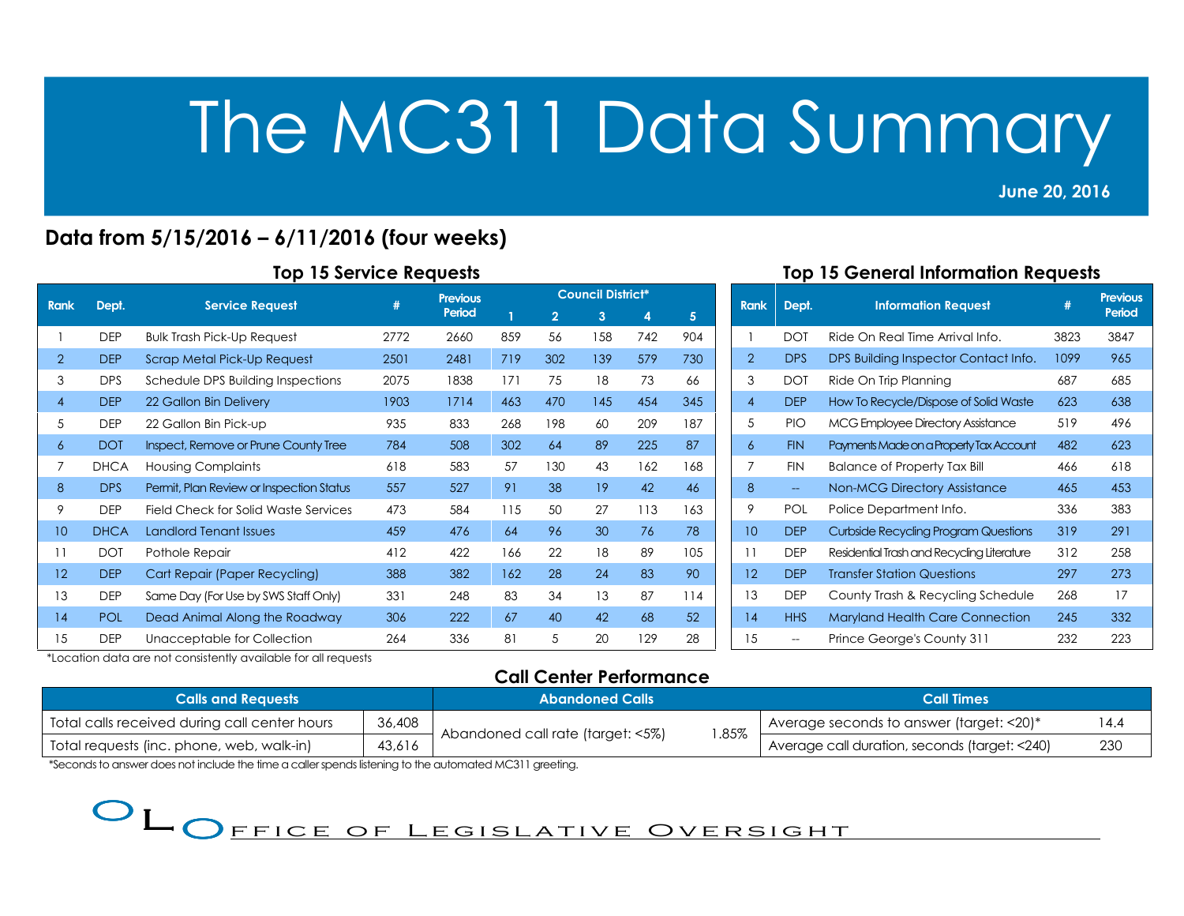June 20, 2016

2013<br>2013 - Paul Barnett, amerikansk politik<br>2013 - Paul Barnett, amerikansk politik

## Data from 5/15/2016 – 6/11/2016 (four weeks)

| <b>Rank</b>    |             |                                             | #    | <b>Previous</b> |     |                | <b>Council District*</b> |     |     |
|----------------|-------------|---------------------------------------------|------|-----------------|-----|----------------|--------------------------|-----|-----|
|                | Dept.       | <b>Service Request</b>                      |      |                 | 1   | $\overline{2}$ | 3                        | 4   | 5   |
|                | <b>DEP</b>  | <b>Bulk Trash Pick-Up Request</b>           | 2772 | 2660            | 859 | 56             | 158                      | 742 | 904 |
| $\overline{2}$ | <b>DEP</b>  | Scrap Metal Pick-Up Request                 | 2501 | 2481            | 719 | 302            | 139                      | 579 | 730 |
| 3              | <b>DPS</b>  | Schedule DPS Building Inspections           | 2075 | 1838            | 171 | 75             | 18                       | 73  | 66  |
| 4              | <b>DEP</b>  | 22 Gallon Bin Delivery                      | 1903 | 1714            | 463 | 470            | 145                      | 454 | 345 |
| 5              | <b>DEP</b>  | 22 Gallon Bin Pick-up                       | 935  | 833             | 268 | 198            | 60                       | 209 | 187 |
| 6              | <b>DOT</b>  | Inspect, Remove or Prune County Tree        | 784  | 508             | 302 | 64             | 89                       | 225 | 87  |
| 7              | <b>DHCA</b> | <b>Housing Complaints</b>                   | 618  | 583             | 57  | 130            | 43                       | 162 | 168 |
| 8              | <b>DPS</b>  | Permit, Plan Review or Inspection Status    | 557  | 527             | 91  | 38             | 19                       | 42  | 46  |
| 9              | <b>DEP</b>  | <b>Field Check for Solid Waste Services</b> | 473  | 584             | 115 | 50             | 27                       | 113 | 163 |
| 10             | <b>DHCA</b> | <b>Landlord Tenant Issues</b>               | 459  | 476             | 64  | 96             | 30                       | 76  | 78  |
| 11             | <b>DOT</b>  | Pothole Repair                              | 412  | 422             | 166 | 22             | 18                       | 89  | 105 |
| 12             | <b>DEP</b>  | <b>Cart Repair (Paper Recycling)</b>        | 388  | 382             | 162 | 28             | 24                       | 83  | 90  |
| 13             | <b>DEP</b>  | Same Day (For Use by SWS Staff Only)        | 331  | 248             | 83  | 34             | 13                       | 87  | 114 |
| 14             | <b>POL</b>  | Dead Animal Along the Roadway               | 306  | 222             | 67  | 40             | 42                       | 68  | 52  |
| 15             | <b>DEP</b>  | Unacceptable for Collection                 | 264  | 336             | 81  | 5              | 20                       | 129 | 28  |

#### Top 15 General Information Requests

| <b>Rank</b>       | Dept.                    | <b>Information Request</b>                 | #    | Previous<br>Period |
|-------------------|--------------------------|--------------------------------------------|------|--------------------|
| 1                 | <b>DOT</b>               | Ride On Real Time Arrival Info.            | 3823 | 3847               |
| $\overline{2}$    | DPS                      | DPS Building Inspector Contact Info.       | 1099 | 965                |
| 3                 | <b>DOT</b>               | Ride On Trip Planning                      | 687  | 685                |
| $\overline{4}$    | <b>DEP</b>               | How To Recycle/Dispose of Solid Waste      | 623  | 638                |
| 5                 | PIO                      | MCG Employee Directory Assistance          | 519  | 496                |
| 6                 | <b>FIN</b>               | Payments Made on a Property Tax Account    | 482  | 623                |
| 7                 | <b>FIN</b>               | <b>Balance of Property Tax Bill</b>        | 466  | 618                |
| 8                 | $\overline{\phantom{a}}$ | <b>Non-MCG Directory Assistance</b>        | 465  | 453                |
| 9                 | <b>POL</b>               | Police Department Info.                    | 336  | 383                |
| 10                | <b>DEP</b>               | Curbside Recycling Program Questions       | 319  | 291                |
| 11                | <b>DEP</b>               | Residential Trash and Recycling Literature | 312  | 258                |
| $12 \overline{ }$ | <b>DEP</b>               | <b>Transfer Station Questions</b>          | 297  | 273                |
| 13                | <b>DEP</b>               | County Trash & Recycling Schedule          | 268  | 17                 |
| 14                | <b>HHS</b>               | <b>Maryland Health Care Connection</b>     | 245  | 332                |
| 15                |                          | Prince George's County 311                 | 232  | 223                |

\*Location data are not consistently available for all requests

## Call Center Performance

| <b>Calls and Requests</b>                     | <b>Abandoned Calls</b> |                                   | <b>Call Times</b> |                                                            |     |
|-----------------------------------------------|------------------------|-----------------------------------|-------------------|------------------------------------------------------------|-----|
| Total calls received during call center hours | 36,408                 |                                   |                   | Average seconds to answer (target: <20)*<br>14.4           |     |
| Total requests (inc. phone, web, walk-in)     | 43,616                 | Abandoned call rate (target: <5%) | .85%              | <sup>1</sup> Average call duration, seconds (target: <240) | 230 |

\*Seconds to answer does not include the time a caller spends listening to the automated MC311 greeting.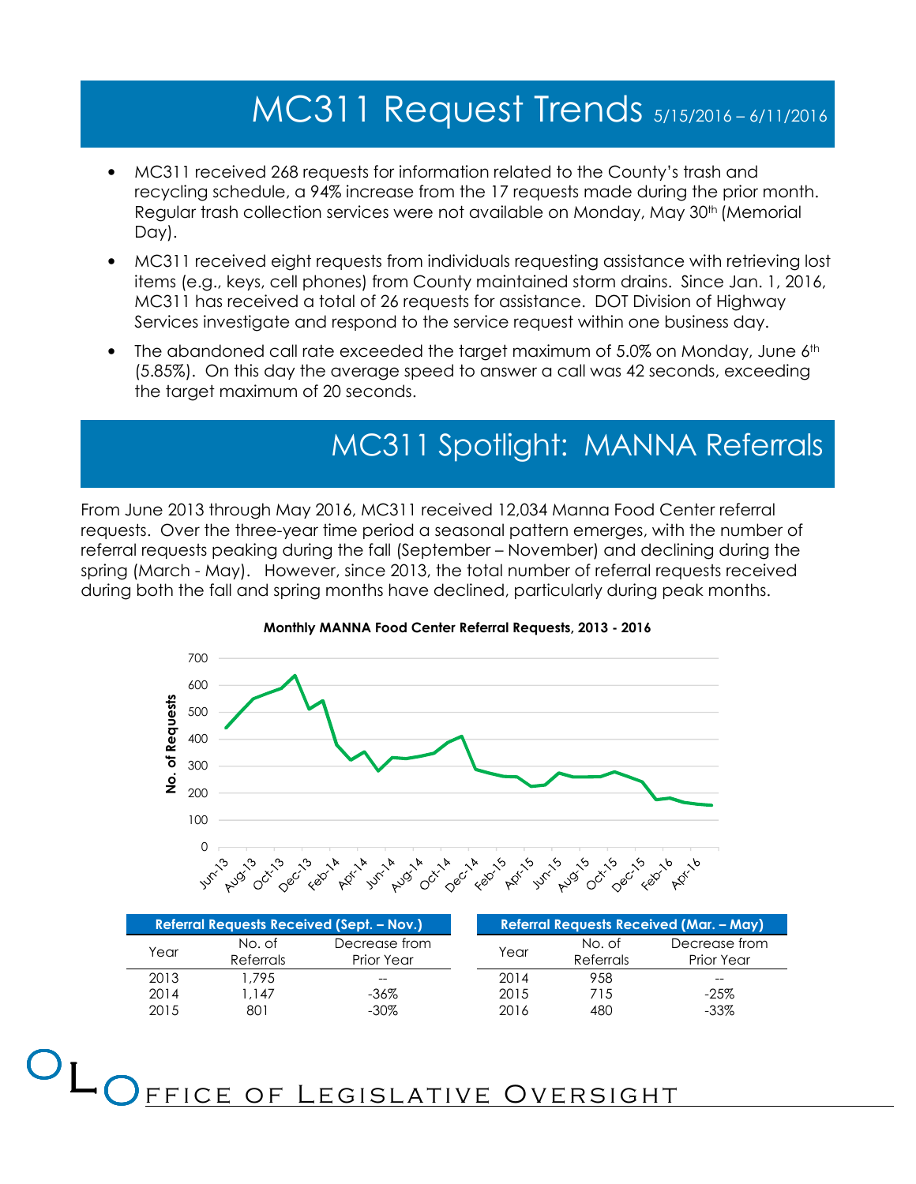# MC311 Request Trends 5/15/2016 – 6/11/2016

- MC311 received 268 requests for information related to the County's trash and recycling schedule, a 94% increase from the 17 requests made during the prior month. Regular trash collection services were not available on Monday, May 30<sup>th</sup> (Memorial Day).
- MC311 received eight requests from individuals requesting assistance with retrieving lost items (e.g., keys, cell phones) from County maintained storm drains. Since Jan. 1, 2016, MC311 has received a total of 26 requests for assistance. DOT Division of Highway Services investigate and respond to the service request within one business day.
- The abandoned call rate exceeded the target maximum of 5.0% on Monday, June 6<sup>th</sup> (5.85%). On this day the average speed to answer a call was 42 seconds, exceeding the target maximum of 20 seconds.

## MC311 Spotlight: MANNA Referrals

From June 2013 through May 2016, MC311 received 12,034 Manna Food Center referral requests. Over the three-year time period a seasonal pattern emerges, with the number of referral requests peaking during the fall (September – November) and declining during the spring (March - May). However, since 2013, the total number of referral requests received during both the fall and spring months have declined, particularly during peak months.





| <b>Referral Requests Received (Sept. – Nov.)</b> |                         |               |      |           |            | <b>Referral Requests Received (Mar. - May)</b> |
|--------------------------------------------------|-------------------------|---------------|------|-----------|------------|------------------------------------------------|
| Year                                             | No. of                  | Decrease from | Year |           | No. of     | Decrease from                                  |
|                                                  | Referrals<br>Prior Year |               |      | Referrals | Prior Year |                                                |
| 2013                                             | .795                    | $- -$         |      | 2014      | 958        | $- -$                                          |
| 2014                                             | .147                    | -36%          |      | 2015      | 715        | $-25%$                                         |
| 2015                                             | 801                     | $-30\%$       |      | 2016      | 480        | $-33\%$                                        |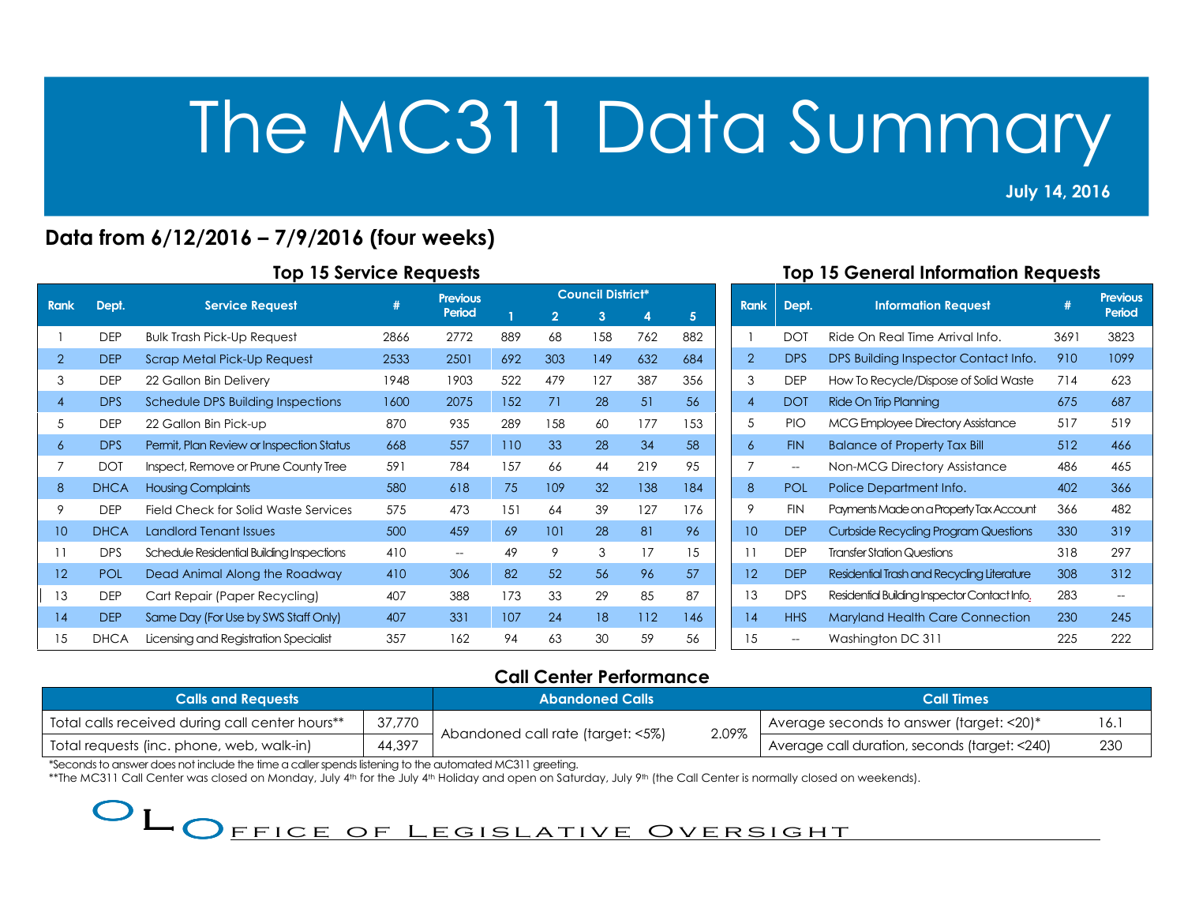July 14, 2016 2013<br>2013 - Paul Barnett, politik eta alder<br>2013 - Paul Barnett, politik eta alder

## Data from 6/12/2016 – 7/9/2016 (four weeks)

| <b>Rank</b>    | Dept.       | <b>Service Request</b>                    | #    | <b>Previous</b>   |     | <b>Council District*</b> |     |     |     |  |  |
|----------------|-------------|-------------------------------------------|------|-------------------|-----|--------------------------|-----|-----|-----|--|--|
|                |             |                                           |      | Period            |     | $\overline{2}$           | 3   | 4   | 5   |  |  |
|                | <b>DEP</b>  | <b>Bulk Trash Pick-Up Request</b>         | 2866 | 2772              | 889 | 68                       | 158 | 762 | 882 |  |  |
| $\overline{2}$ | <b>DEP</b>  | Scrap Metal Pick-Up Request               | 2533 | 2501              | 692 | 303                      | 149 | 632 | 684 |  |  |
| 3              | <b>DEP</b>  | 22 Gallon Bin Delivery                    | 1948 | 1903              | 522 | 479                      | 127 | 387 | 356 |  |  |
| $\overline{4}$ | <b>DPS</b>  | Schedule DPS Building Inspections         | 1600 | 2075              | 152 | 71                       | 28  | 51  | 56  |  |  |
| 5              | <b>DEP</b>  | 22 Gallon Bin Pick-up                     | 870  | 935               | 289 | 158                      | 60  | 177 | 153 |  |  |
| 6              | <b>DPS</b>  | Permit, Plan Review or Inspection Status  | 668  | 557               | 110 | 33                       | 28  | 34  | 58  |  |  |
| 7              | <b>DOT</b>  | Inspect, Remove or Prune County Tree      | 591  | 784               | 157 | 66                       | 44  | 219 | 95  |  |  |
| 8              | <b>DHCA</b> | <b>Housing Complaints</b>                 | 580  | 618               | 75  | 109                      | 32  | 138 | 184 |  |  |
| 9              | <b>DEP</b>  | Field Check for Solid Waste Services      | 575  | 473               | 151 | 64                       | 39  | 127 | 176 |  |  |
| 10             | <b>DHCA</b> | <b>Landlord Tenant Issues</b>             | 500  | 459               | 69  | 101                      | 28  | 81  | 96  |  |  |
| 11             | <b>DPS</b>  | Schedule Residential Building Inspections | 410  | $\hspace{0.05cm}$ | 49  | 9                        | 3   | 17  | 15  |  |  |
| 12             | <b>POL</b>  | Dead Animal Along the Roadway             | 410  | 306               | 82  | 52                       | 56  | 96  | 57  |  |  |
| 13             | <b>DEP</b>  | Cart Repair (Paper Recycling)             | 407  | 388               | 173 | 33                       | 29  | 85  | 87  |  |  |
| 14             | <b>DEP</b>  | Same Day (For Use by SWS Staff Only)      | 407  | 331               | 107 | 24                       | 18  | 112 | 146 |  |  |
| 15             | <b>DHCA</b> | Licensing and Registration Specialist     | 357  | 162               | 94  | 63                       | 30  | 59  | 56  |  |  |

### Top 15 General Information Requests

| <b>Rank</b>       | Dept.      | <b>Information Request</b>                   | #    | <b>Previous</b><br>Period |
|-------------------|------------|----------------------------------------------|------|---------------------------|
| 1                 | <b>DOT</b> | Ride On Real Time Arrival Info.              | 3691 | 3823                      |
| $\overline{2}$    | <b>DPS</b> | DPS Building Inspector Contact Info.         | 910  | 1099                      |
| 3                 | <b>DEP</b> | How To Recycle/Dispose of Solid Waste        | 714  | 623                       |
| $\overline{4}$    | <b>DOT</b> | Ride On Trip Planning                        | 675  | 687                       |
| 5                 | <b>PIO</b> | <b>MCG Employee Directory Assistance</b>     | 517  | 519                       |
| 6                 | <b>FIN</b> | <b>Balance of Property Tax Bill</b>          | 512  | 466                       |
| 7                 | $-$        | Non-MCG Directory Assistance                 | 486  | 465                       |
| 8                 | <b>POL</b> | Police Department Info.                      | 402  | 366                       |
| 9                 | <b>FIN</b> | Payments Made on a Property Tax Account      | 366  | 482                       |
| 10                | <b>DEP</b> | Curbside Recycling Program Questions         | 330  | 319                       |
| 11                | <b>DEP</b> | <b>Transfer Station Questions</b>            | 318  | 297                       |
| $12 \overline{ }$ | <b>DEP</b> | Residential Trash and Recycling Literature   | 308  | 312                       |
| 13                | <b>DPS</b> | Residential Building Inspector Contact Info. | 283  | --                        |
| 14                | <b>HHS</b> | <b>Maryland Health Care Connection</b>       | 230  | 245                       |
| 15                |            | Washington DC 311                            | 225  | 222                       |

## Call Center Performance

| <b>Calls and Requests</b>                                 |        | <b>Abandoned Calls</b>                                   | Call Times                                           |
|-----------------------------------------------------------|--------|----------------------------------------------------------|------------------------------------------------------|
| 37,770<br>Total calls received during call center hours** |        | I Average seconds to answer (target: $<$ 20) $^*$<br>16. |                                                      |
| Total requests (inc. phone, web, walk-in)                 | 44,397 | 2.09%<br>Abandoned call rate (target: <5%)               | Average call duration, seconds (target: <240)<br>230 |

\*Seconds to answer does not include the time a caller spends listening to the automated MC311 greeting.

\*\*The MC311 Call Center was closed on Monday, July 4th for the July 4th Holiday and open on Saturday, July 9th (the Call Center is normally closed on weekends).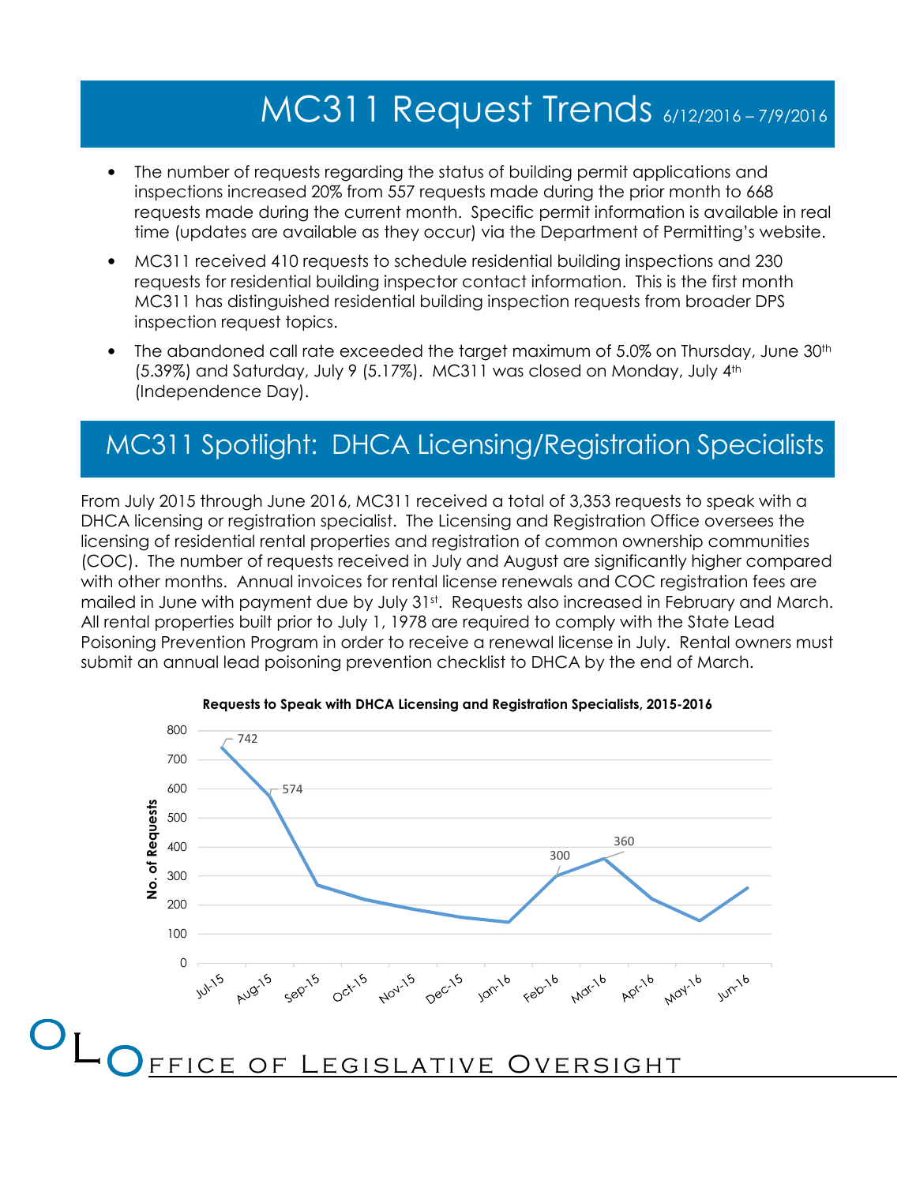# MC311 Request Trends 6/12/2016 – 7/9/2016

- The number of requests regarding the status of building permit applications and inspections increased 20% from 557 requests made during the prior month to 668 requests made during the current month. Specific permit information is available in real time (updates are available as they occur) via the Department of Permitting's website.
- MC311 received 410 requests to schedule residential building inspections and 230 requests for residential building inspector contact information. This is the first month MC311 has distinguished residential building inspection requests from broader DPS inspection request topics.
- The abandoned call rate exceeded the target maximum of 5.0% on Thursday, June 30<sup>th</sup> (5.39%) and Saturday, July 9 (5.17%). MC311 was closed on Monday, July 4th (Independence Day).

## MC311 Spotlight: DHCA Licensing/Registration Specialists

From July 2015 through June 2016, MC311 received a total of 3,353 requests to speak with a DHCA licensing or registration specialist. The Licensing and Registration Office oversees the licensing of residential rental properties and registration of common ownership communities (COC). The number of requests received in July and August are significantly higher compared with other months. Annual invoices for rental license renewals and COC registration fees are mailed in June with payment due by July 31st. Requests also increased in February and March. All rental properties built prior to July 1, 1978 are required to comply with the State Lead Poisoning Prevention Program in order to receive a renewal license in July. Rental owners must submit an annual lead poisoning prevention checklist to DHCA by the end of March.



Requests to Speak with DHCA Licensing and Registration Specialists, 2015-2016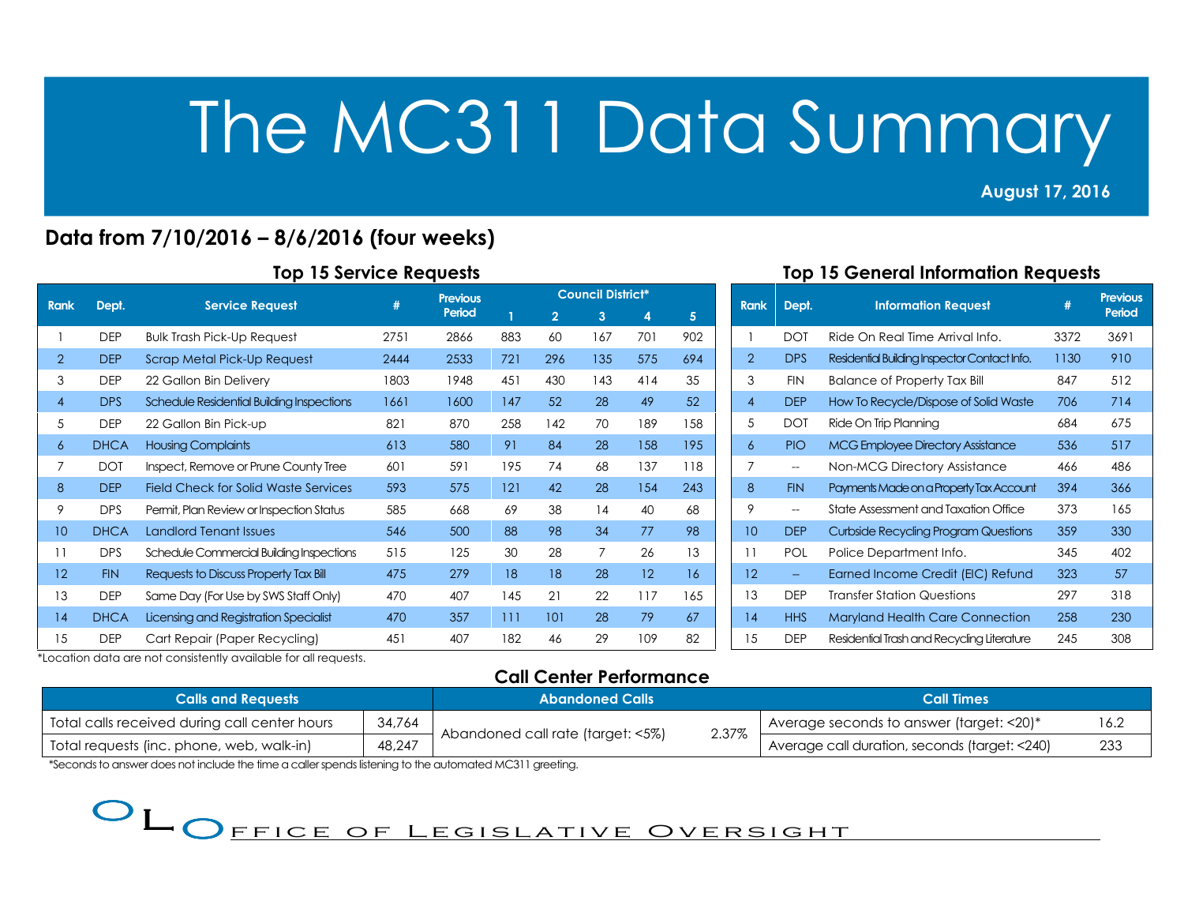## August 17, 2016

2013<br>2013 - Paul Barnett, politik eta alder<br>2013 - Paul Barnett, politik eta alder

## Data from 7/10/2016 – 8/6/2016 (four weeks)

| <b>Rank</b>       | Dept.       | <b>Service Request</b>                      | #    | <b>Previous</b> | <b>Council District*</b> |                |                |     |     |  |
|-------------------|-------------|---------------------------------------------|------|-----------------|--------------------------|----------------|----------------|-----|-----|--|
|                   |             |                                             |      | Period          |                          | $\overline{2}$ | 3              | 4   | 5   |  |
|                   | <b>DEP</b>  | <b>Bulk Trash Pick-Up Request</b>           | 2751 | 2866            | 883                      | 60             | 167            | 701 | 902 |  |
| 2                 | <b>DEP</b>  | Scrap Metal Pick-Up Request                 | 2444 | 2533            | 721                      | 296            | 135            | 575 | 694 |  |
| 3                 | <b>DEP</b>  | 22 Gallon Bin Delivery                      | 1803 | 1948            | 451                      | 430            | 143            | 414 | 35  |  |
| $\overline{4}$    | <b>DPS</b>  | Schedule Residential Building Inspections   | 1661 | 1600            | 147                      | 52             | 28             | 49  | 52  |  |
| 5                 | <b>DEP</b>  | 22 Gallon Bin Pick-up                       | 821  | 870             | 258                      | 142            | 70             | 189 | 158 |  |
| 6                 | <b>DHCA</b> | <b>Housing Complaints</b>                   | 613  | 580             | 91                       | 84             | 28             | 158 | 195 |  |
| 7                 | <b>DOT</b>  | Inspect, Remove or Prune County Tree        | 601  | 591             | 195                      | 74             | 68             | 137 | 118 |  |
| 8                 | <b>DEP</b>  | <b>Field Check for Solid Waste Services</b> | 593  | 575             | 121                      | 42             | 28             | 154 | 243 |  |
| 9                 | <b>DPS</b>  | Permit, Plan Review or Inspection Status    | 585  | 668             | 69                       | 38             | 14             | 40  | 68  |  |
| 10                | <b>DHCA</b> | Landlord Tenant Issues                      | 546  | 500             | 88                       | 98             | 34             | 77  | 98  |  |
| 11                | <b>DPS</b>  | Schedule Commercial Building Inspections    | 515  | 125             | 30                       | 28             | $\overline{7}$ | 26  | 13  |  |
| $12 \overline{ }$ | <b>FIN</b>  | Requests to Discuss Property Tax Bill       | 475  | 279             | 18                       | 18             | 28             | 12  | 16  |  |
| 13                | <b>DEP</b>  | Same Day (For Use by SWS Staff Only)        | 470  | 407             | 145                      | 21             | 22             | 117 | 165 |  |
| 14                | <b>DHCA</b> | Licensing and Registration Specialist       | 470  | 357             | 111                      | 101            | 28             | 79  | 67  |  |
| 15                | <b>DEP</b>  | Cart Repair (Paper Recycling)               | 451  | 407             | 182                      | 46             | 29             | 109 | 82  |  |

### Top 15 General Information Requests

| <b>Rank</b>       | Dept.      | <b>Information Request</b>                   | #    | Previous<br>Period |
|-------------------|------------|----------------------------------------------|------|--------------------|
| 1                 | <b>DOT</b> | Ride On Real Time Arrival Info.              | 3372 | 3691               |
| $\overline{2}$    | <b>DPS</b> | Residential Building Inspector Contact Info. | 1130 | 910                |
| 3                 | <b>FIN</b> | <b>Balance of Property Tax Bill</b>          | 847  | 512                |
| $\overline{4}$    | <b>DEP</b> | How To Recycle/Dispose of Solid Waste        | 706  | 714                |
| 5                 | <b>DOT</b> | Ride On Trip Planning                        | 684  | 675                |
| 6                 | PIO.       | <b>MCG Employee Directory Assistance</b>     | 536  | 517                |
| 7                 | $-$        | Non-MCG Directory Assistance                 | 466  | 486                |
| 8                 | <b>FIN</b> | Payments Made on a Property Tax Account      | 394  | 366                |
| 9                 | --         | State Assessment and Taxation Office         | 373  | 165                |
| 10                | <b>DEP</b> | <b>Curbside Recycling Program Questions</b>  | 359  | 330                |
| 11                | <b>POL</b> | Police Department Info.                      | 345  | 402                |
| $12 \overline{ }$ |            | Earned Income Credit (EIC) Refund            | 323  | 57                 |
| 13                | <b>DEP</b> | <b>Transfer Station Questions</b>            | 297  | 318                |
| 14                | <b>HHS</b> | <b>Maryland Health Care Connection</b>       | 258  | 230                |
| 15                | <b>DEP</b> | Residential Trash and Recycling Literature   | 245  | 308                |

\*Location data are not consistently available for all requests.

## Call Center Performance

| <b>Calls and Requests</b>                               |        | <b>Abandoned Calls</b>            |       | <b>Call Times</b>                               |      |  |
|---------------------------------------------------------|--------|-----------------------------------|-------|-------------------------------------------------|------|--|
| 34,764<br>Total calls received during call center hours |        |                                   |       | Average seconds to answer (target: $\leq 20$ )* | 16.2 |  |
| Total requests (inc. phone, web, walk-in)               | 48,247 | Abandoned call rate (target: <5%) | 2.37% | Average call duration, seconds (target: <240)   | 233  |  |

\*Seconds to answer does not include the time a caller spends listening to the automated MC311 greeting.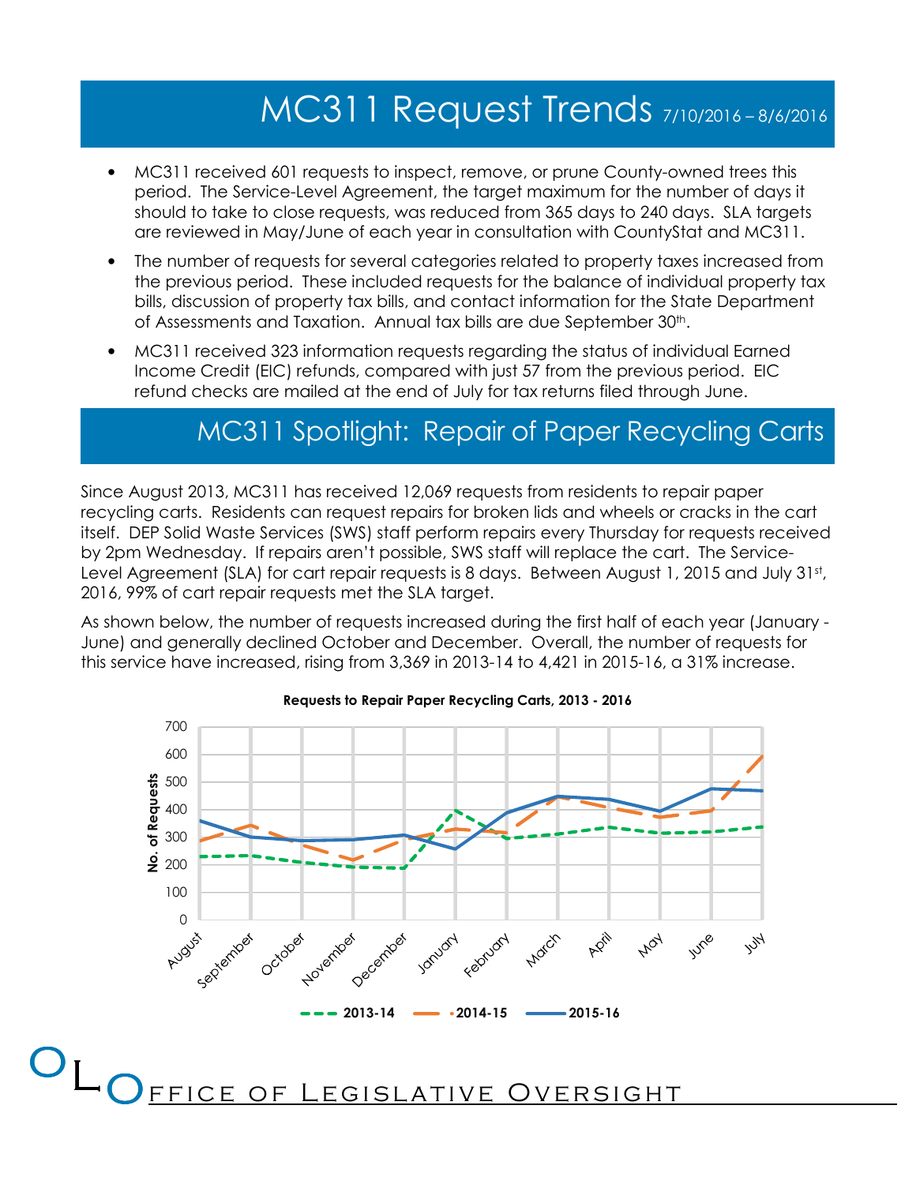## MC311 Request Trends 7/10/2016 – 8/6/2016

- MC311 received 601 requests to inspect, remove, or prune County-owned trees this period. The Service-Level Agreement, the target maximum for the number of days it should to take to close requests, was reduced from 365 days to 240 days. SLA targets are reviewed in May/June of each year in consultation with CountyStat and MC311.
- The number of requests for several categories related to property taxes increased from the previous period. These included requests for the balance of individual property tax bills, discussion of property tax bills, and contact information for the State Department of Assessments and Taxation. Annual tax bills are due September 30<sup>th</sup>.
- MC311 received 323 information requests regarding the status of individual Earned Income Credit (EIC) refunds, compared with just 57 from the previous period. EIC refund checks are mailed at the end of July for tax returns filed through June.

## MC311 Spotlight: Repair of Paper Recycling Carts

Since August 2013, MC311 has received 12,069 requests from residents to repair paper recycling carts. Residents can request repairs for broken lids and wheels or cracks in the cart itself. DEP Solid Waste Services (SWS) staff perform repairs every Thursday for requests received by 2pm Wednesday. If repairs aren't possible, SWS staff will replace the cart. The Service-Level Agreement (SLA) for cart repair requests is 8 days. Between August 1, 2015 and July 31st, 2016, 99% of cart repair requests met the SLA target.

As shown below, the number of requests increased during the first half of each year (January - June) and generally declined October and December. Overall, the number of requests for this service have increased, rising from 3,369 in 2013-14 to 4,421 in 2015-16, a 31% increase.



#### Requests to Repair Paper Recycling Carts, 2013 - 2016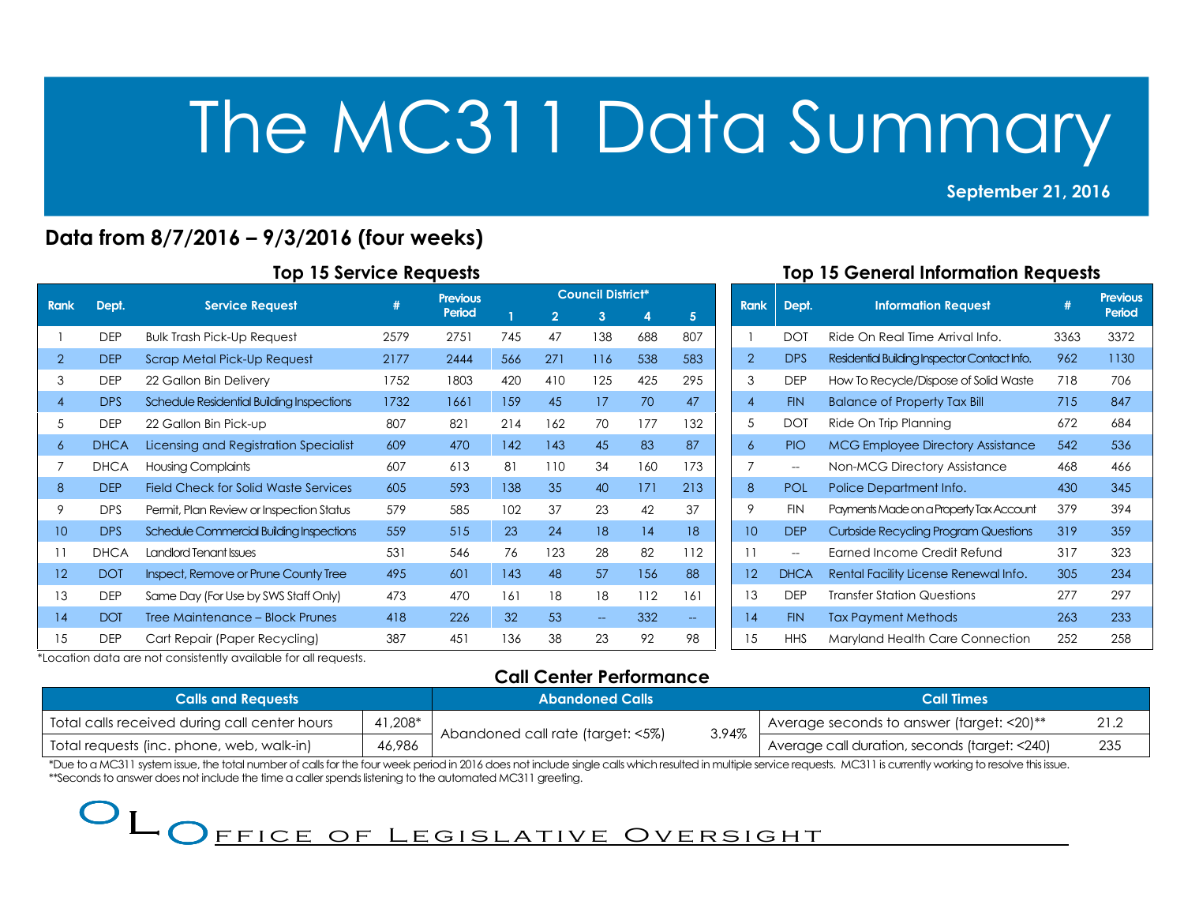### September 21, 2016

2013<br>2013 - Paul Barnett, politik eta alder<br>2013 - Paul Barnett, politik eta alder

## Data from 8/7/2016 – 9/3/2016 (four weeks)

| <b>Rank</b>    | Dept.       | <b>Service Request</b>                    | (#)  | <b>Previous</b> | <b>Council District*</b> |                |                          |     |                                   |  |
|----------------|-------------|-------------------------------------------|------|-----------------|--------------------------|----------------|--------------------------|-----|-----------------------------------|--|
|                |             |                                           |      | Period          |                          | $\overline{2}$ | 3                        | 4   | 5                                 |  |
|                | <b>DEP</b>  | <b>Bulk Trash Pick-Up Request</b>         | 2579 | 2751            | 745                      | 47             | 138                      | 688 | 807                               |  |
| 2              | <b>DEP</b>  | Scrap Metal Pick-Up Request               | 2177 | 2444            | 566                      | 271            | 116                      | 538 | 583                               |  |
| 3              | <b>DEP</b>  | 22 Gallon Bin Delivery                    | 1752 | 1803            | 420                      | 410            | 125                      | 425 | 295                               |  |
| $\overline{4}$ | <b>DPS</b>  | Schedule Residential Building Inspections | 1732 | 1661            | 159                      | 45             | 17                       | 70  | 47                                |  |
| 5              | <b>DEP</b>  | 22 Gallon Bin Pick-up                     | 807  | 821             | 214                      | 162            | 70                       | 177 | 132                               |  |
| 6              | <b>DHCA</b> | Licensing and Registration Specialist     | 609  | 470             | 142                      | 143            | 45                       | 83  | 87                                |  |
| 7              | <b>DHCA</b> | <b>Housing Complaints</b>                 | 607  | 613             | 81                       | 110            | 34                       | 160 | 173                               |  |
| 8              | <b>DEP</b>  | Field Check for Solid Waste Services      | 605  | 593             | 138                      | 35             | 40                       | 171 | 213                               |  |
| 9              | <b>DPS</b>  | Permit, Plan Review or Inspection Status  | 579  | 585             | 102                      | 37             | 23                       | 42  | 37                                |  |
| 10             | <b>DPS</b>  | Schedule Commercial Building Inspections  | 559  | 515             | 23                       | 24             | 18                       | 14  | 18                                |  |
| 11             | <b>DHCA</b> | Landlord Tenant Issues                    | 531  | 546             | 76                       | 123            | 28                       | 82  | 112                               |  |
| 12             | <b>DOT</b>  | Inspect, Remove or Prune County Tree      | 495  | 601             | 143                      | 48             | 57                       | 156 | 88                                |  |
| 13             | <b>DEP</b>  | Same Day (For Use by SWS Staff Only)      | 473  | 470             | 161                      | 18             | 18                       | 112 | 161                               |  |
| 14             | <b>DOT</b>  | Tree Maintenance - Block Prunes           | 418  | 226             | 32                       | 53             | $\overline{\phantom{m}}$ | 332 | $\hspace{0.05cm} \dashrightarrow$ |  |
| 15             | <b>DEP</b>  | Cart Repair (Paper Recycling)             | 387  | 451             | 136                      | 38             | 23                       | 92  | 98                                |  |

### Top 15 General Information Requests

| <b>Rank</b>       | Dept.       | <b>Information Request</b>                   | #    | <b>Previous</b><br>Period |
|-------------------|-------------|----------------------------------------------|------|---------------------------|
| 1                 | <b>DOT</b>  | Ride On Real Time Arrival Info.              | 3363 | 3372                      |
| $\overline{2}$    | <b>DPS</b>  | Residential Building Inspector Contact Info. | 962  | 1130                      |
| 3                 | <b>DEP</b>  | How To Recycle/Dispose of Solid Waste        | 718  | 706                       |
| $\overline{4}$    | <b>FIN</b>  | <b>Balance of Property Tax Bill</b>          | 715  | 847                       |
| 5                 | <b>DOT</b>  | Ride On Trip Planning                        | 672  | 684                       |
| 6                 | <b>PIO</b>  | <b>MCG Employee Directory Assistance</b>     | 542  | 536                       |
| 7                 | $-$         | Non-MCG Directory Assistance                 | 468  | 466                       |
| 8                 | <b>POL</b>  | Police Department Info.                      | 430  | 345                       |
| 9                 | <b>FIN</b>  | Payments Made on a Property Tax Account      | 379  | 394                       |
| 10                | <b>DEP</b>  | <b>Curbside Recycling Program Questions</b>  | 319  | 359                       |
| 11                | $- -$       | Farned Income Credit Refund                  | 317  | 323                       |
| $12 \overline{ }$ | <b>DHCA</b> | Rental Facility License Renewal Info.        | 305  | 234                       |
| 13                | <b>DEP</b>  | <b>Transfer Station Questions</b>            | 277  | 297                       |
| 14                | <b>FIN</b>  | <b>Tax Payment Methods</b>                   | 263  | 233                       |
| 15                | <b>HHS</b>  | Maryland Health Care Connection              | 252  | 258                       |

\*Location data are not consistently available for all requests.

#### Call Center Performance

| <b>Calls and Requests</b>                     |         | <b>Abandoned Calls</b>                     | <b>Call Times</b>                                    |
|-----------------------------------------------|---------|--------------------------------------------|------------------------------------------------------|
| Total calls received during call center hours | 41,208* |                                            | 21.2<br>I Average seconds to answer (target: <20)**  |
| Total requests (inc. phone, web, walk-in)     | 46,986  | 3.94%<br>Abandoned call rate (target: <5%) | Average call duration, seconds (target: <240)<br>235 |

\*Due to a MC311 system issue, the total number of calls for the four week period in 2016 does not include single calls which resulted in multiple service requests. MC311 is currently working to resolve this issue. \*\*Seconds to answer does not include the time a caller spends listening to the automated MC311 greeting.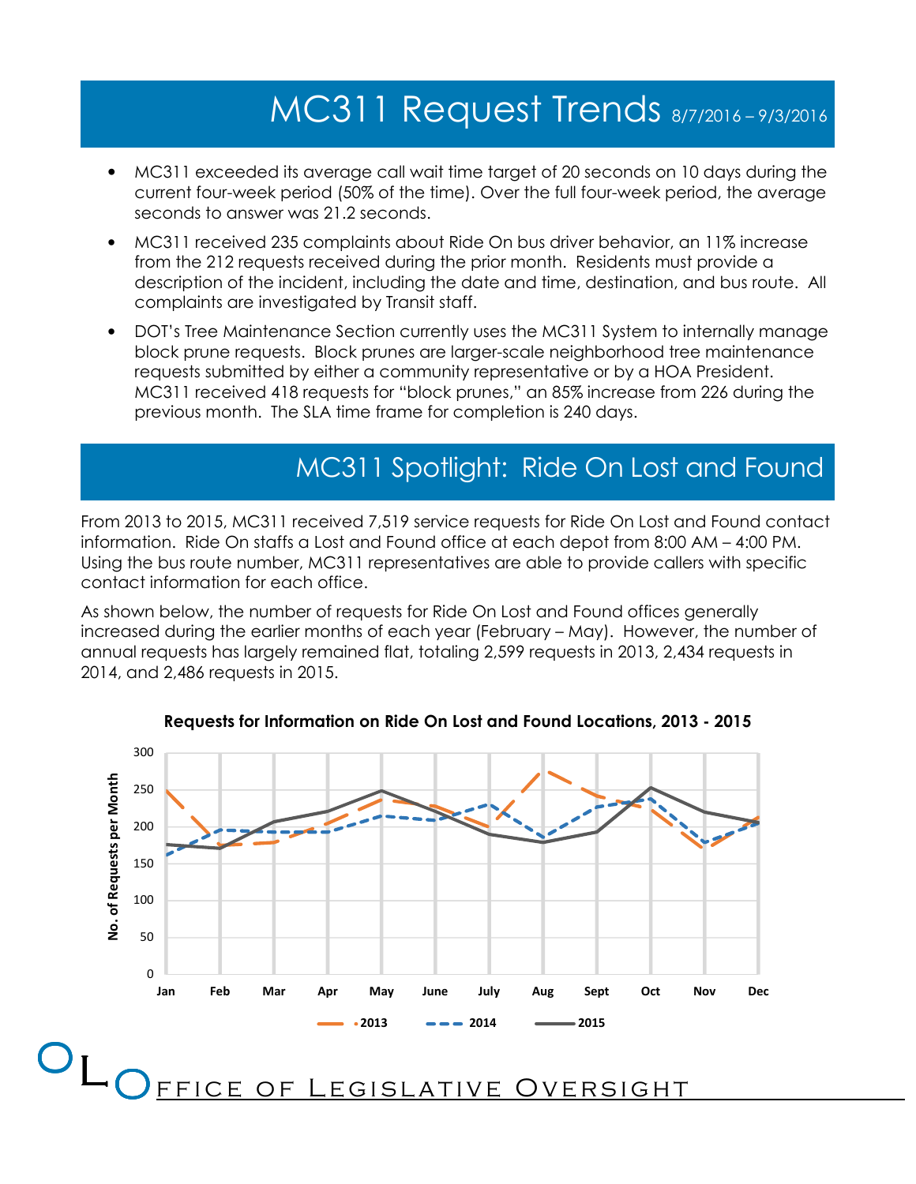## MC311 Request Trends 8/7/2016 – 9/3/2016

- MC311 exceeded its average call wait time target of 20 seconds on 10 days during the current four-week period (50% of the time). Over the full four-week period, the average seconds to answer was 21.2 seconds.
- MC311 received 235 complaints about Ride On bus driver behavior, an 11% increase from the 212 requests received during the prior month. Residents must provide a description of the incident, including the date and time, destination, and bus route. All complaints are investigated by Transit staff.
- DOT's Tree Maintenance Section currently uses the MC311 System to internally manage block prune requests. Block prunes are larger-scale neighborhood tree maintenance requests submitted by either a community representative or by a HOA President. MC311 received 418 requests for "block prunes," an 85% increase from 226 during the previous month. The SLA time frame for completion is 240 days.

## MC311 Spotlight: Ride On Lost and Found

From 2013 to 2015, MC311 received 7,519 service requests for Ride On Lost and Found contact information. Ride On staffs a Lost and Found office at each depot from 8:00 AM – 4:00 PM. Using the bus route number, MC311 representatives are able to provide callers with specific contact information for each office.

As shown below, the number of requests for Ride On Lost and Found offices generally increased during the earlier months of each year (February – May). However, the number of annual requests has largely remained flat, totaling 2,599 requests in 2013, 2,434 requests in 2014, and 2,486 requests in 2015.



#### Requests for Information on Ride On Lost and Found Locations, 2013 - 2015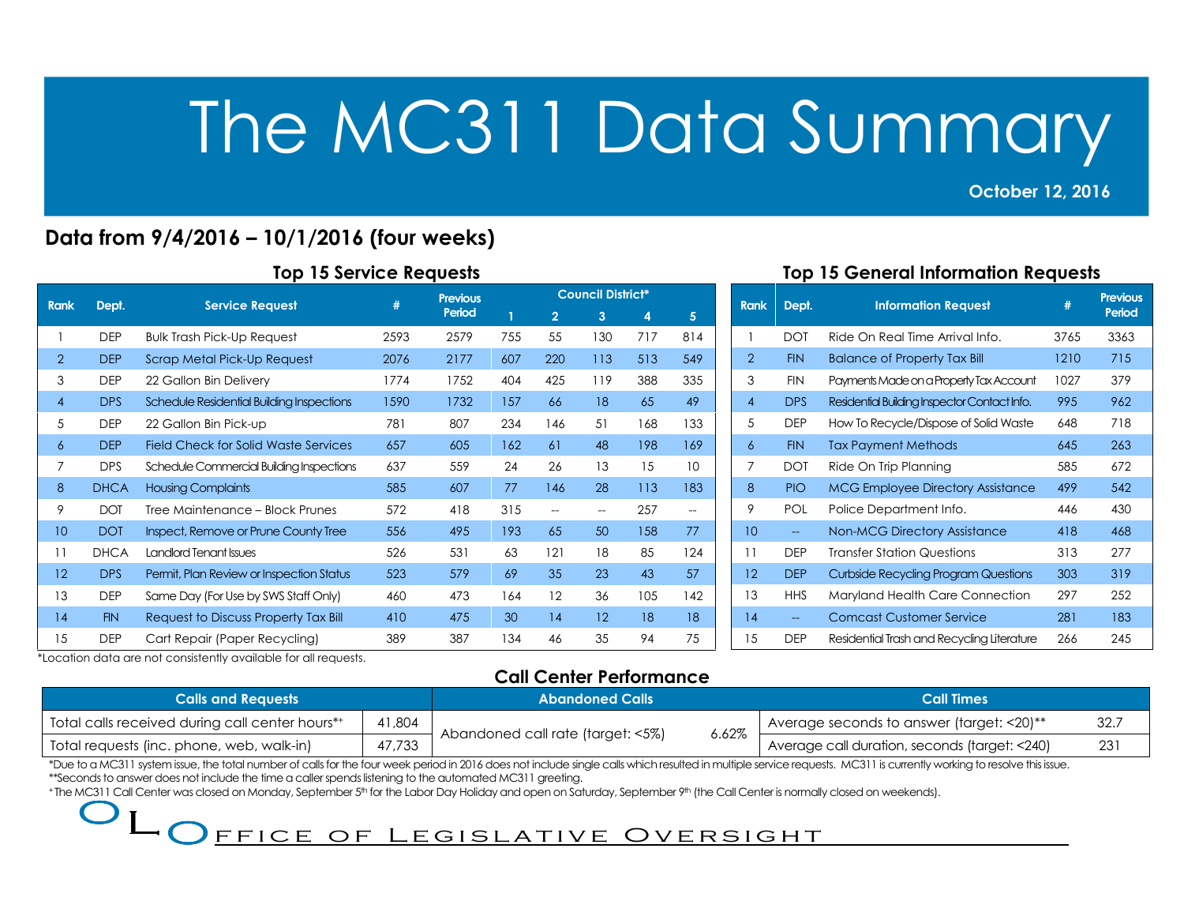### October 12, 2016

2013<br>2013 - Paul Barnett, politik eta alder<br>2013 - Paul Barnett, politik eta alder

## Data from 9/4/2016 – 10/1/2016 (four weeks)

| <b>Rank</b>    | Dept.       | <b>Service Request</b>                    | #    | <b>Previous</b> | <b>Council District*</b> |                          |                          |     |                          |  |
|----------------|-------------|-------------------------------------------|------|-----------------|--------------------------|--------------------------|--------------------------|-----|--------------------------|--|
|                |             |                                           |      | Period          |                          | $\overline{2}$           | 3                        | 4   | 5                        |  |
|                | <b>DEP</b>  | <b>Bulk Trash Pick-Up Request</b>         | 2593 | 2579            | 755                      | 55                       | 130                      | 717 | 814                      |  |
| $\overline{2}$ | <b>DEP</b>  | Scrap Metal Pick-Up Request               | 2076 | 2177            | 607                      | 220                      | 113                      | 513 | 549                      |  |
| 3              | <b>DEP</b>  | 22 Gallon Bin Delivery                    | 1774 | 1752            | 404                      | 425                      | 119                      | 388 | 335                      |  |
| $\overline{4}$ | <b>DPS</b>  | Schedule Residential Building Inspections | 1590 | 1732            | 157                      | 66                       | 18                       | 65  | 49                       |  |
| 5              | <b>DEP</b>  | 22 Gallon Bin Pick-up                     | 781  | 807             | 234                      | 146                      | 51                       | 168 | 133                      |  |
| 6              | <b>DEP</b>  | Field Check for Solid Waste Services      | 657  | 605             | 162                      | 61                       | 48                       | 198 | 169                      |  |
| 7              | <b>DPS</b>  | Schedule Commercial Building Inspections  | 637  | 559             | 24                       | 26                       | 13                       | 15  | 10                       |  |
| 8              | <b>DHCA</b> | <b>Housing Complaints</b>                 | 585  | 607             | 77                       | 146                      | 28                       | 113 | 183                      |  |
| 9              | <b>DOT</b>  | Tree Maintenance - Block Prunes           | 572  | 418             | 315                      | $\overline{\phantom{a}}$ | $\overline{\phantom{a}}$ | 257 | $\overline{\phantom{m}}$ |  |
| 10             | <b>DOT</b>  | Inspect, Remove or Prune County Tree      | 556  | 495             | 193                      | 65                       | 50                       | 158 | 77                       |  |
| 11             | <b>DHCA</b> | <b>Landlord Tenant Issues</b>             | 526  | 531             | 63                       | 121                      | 18                       | 85  | 124                      |  |
| 12             | <b>DPS</b>  | Permit, Plan Review or Inspection Status  | 523  | 579             | 69                       | 35                       | 23                       | 43  | 57                       |  |
| 13             | <b>DEP</b>  | Same Day (For Use by SWS Staff Only)      | 460  | 473             | 164                      | 12                       | 36                       | 105 | 142                      |  |
| 14             | <b>FIN</b>  | Request to Discuss Property Tax Bill      | 410  | 475             | 30                       | 14                       | 12                       | 18  | 18                       |  |
| 15             | <b>DEP</b>  | Cart Repair (Paper Recycling)             | 389  | 387             | 134                      | 46                       | 35                       | 94  | 75                       |  |

## Top 15 General Information Requests

| <b>Rank</b>    | Dept.                    | <b>Information Request</b>                   | #    | <b>Previous</b><br>Period |
|----------------|--------------------------|----------------------------------------------|------|---------------------------|
| 1              | <b>DOT</b>               | Ride On Real Time Arrival Info.              | 3765 | 3363                      |
| $\overline{2}$ | <b>FIN</b>               | <b>Balance of Property Tax Bill</b>          | 1210 | 715                       |
| 3              | <b>FIN</b>               | Payments Made on a Property Tax Account      | 1027 | 379                       |
| $\overline{4}$ | <b>DPS</b>               | Residential Building Inspector Contact Info. | 995  | 962                       |
| 5              | <b>DEP</b>               | How To Recycle/Dispose of Solid Waste        | 648  | 718                       |
| 6              | <b>FIN</b>               | <b>Tax Payment Methods</b>                   | 645  | 263                       |
| 7              | <b>DOT</b>               | Ride On Trip Planning                        | 585  | 672                       |
| 8              | <b>PIO</b>               | <b>MCG Employee Directory Assistance</b>     | 499  | 542                       |
| 9              | <b>POL</b>               | Police Department Info.                      | 446  | 430                       |
| 10             | $\overline{\phantom{0}}$ | <b>Non-MCG Directory Assistance</b>          | 418  | 468                       |
| 11             | <b>DFP</b>               | <b>Transfer Station Questions</b>            | 313  | 277                       |
| 12             | <b>DEP</b>               | <b>Curbside Recycling Program Questions</b>  | 303  | 319                       |
| 13             | <b>HHS</b>               | Maryland Health Care Connection              | 297  | 252                       |
| 14             |                          | <b>Comcast Customer Service</b>              | 281  | 183                       |
| 15             | <b>DEP</b>               | Residential Trash and Recycling Literature   | 266  | 245                       |

\*Location data are not consistently available for all requests.

## Call Center Performance

| <b>Calls and Requests</b>                       |        | <b>Abandoned Calls</b>                     | <b>Call Times</b>                             |      |
|-------------------------------------------------|--------|--------------------------------------------|-----------------------------------------------|------|
| Total calls received during call center hours** | 41,804 |                                            | Average seconds to answer (target: <20)**     | 32.7 |
| Total requests (inc. phone, web, walk-in)       | 47.733 | 6.62%<br>Abandoned call rate (target: <5%) | Average call duration, seconds (target: <240) | 231  |

\*Due to a MC311 system issue, the total number of calls for the four week period in 2016 does not include single calls which resulted in multiple service requests. MC311 is currently working to resolve this issue.

\*\*Seconds to answer does not include the time a caller spends listening to the automated MC311 greeting.

+ The MC311 Call Center was closed on Monday, September 5<sup>th</sup> for the Labor Day Holiday and open on Saturday, September 9<sup>th</sup> (the Call Center is normally closed on weekends).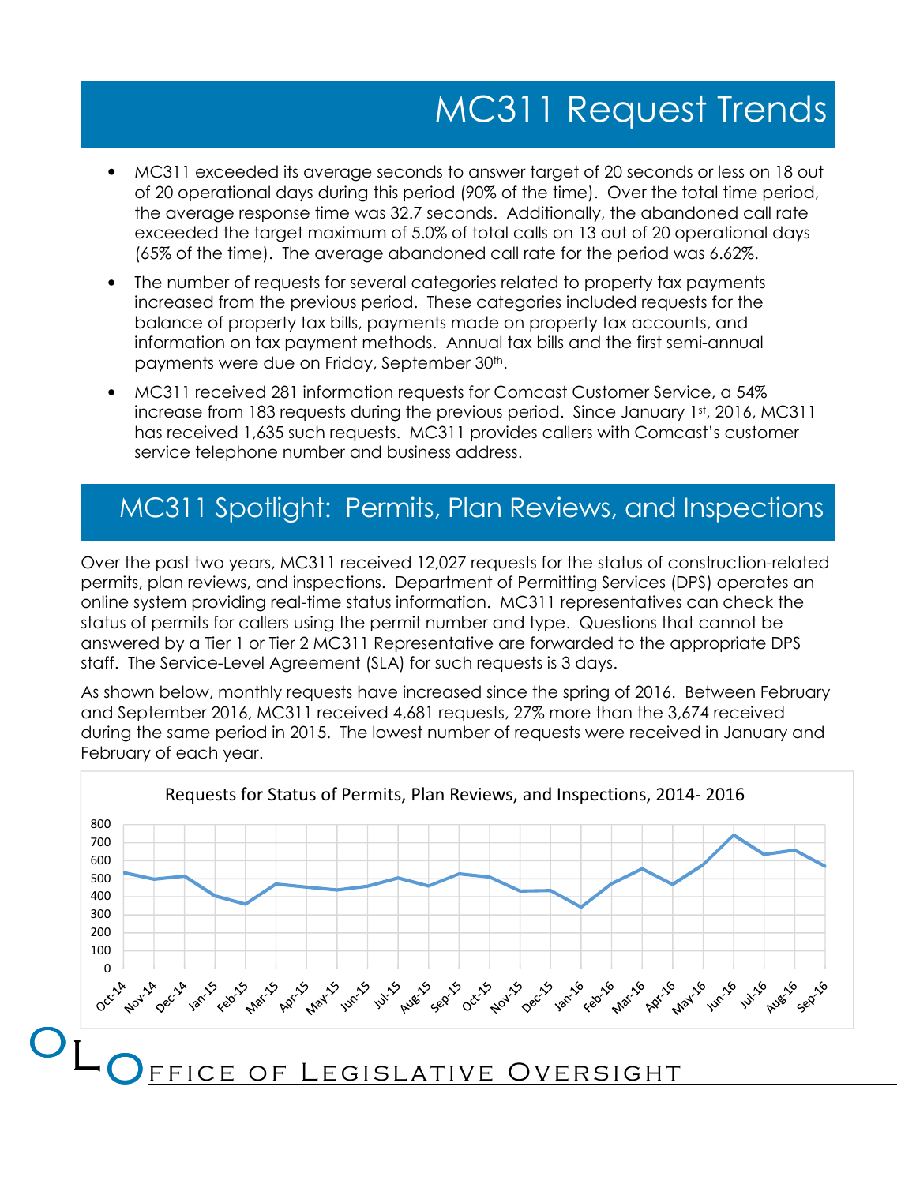# MC311 Request Trends

- MC311 exceeded its average seconds to answer target of 20 seconds or less on 18 out of 20 operational days during this period (90% of the time). Over the total time period, the average response time was 32.7 seconds. Additionally, the abandoned call rate exceeded the target maximum of 5.0% of total calls on 13 out of 20 operational days (65% of the time). The average abandoned call rate for the period was 6.62%.
- The number of requests for several categories related to property tax payments increased from the previous period. These categories included requests for the balance of property tax bills, payments made on property tax accounts, and information on tax payment methods. Annual tax bills and the first semi-annual payments were due on Friday, September 30<sup>th</sup>.
- MC311 received 281 information requests for Comcast Customer Service, a 54% increase from 183 requests during the previous period. Since January  $1<sup>st</sup>$ , 2016, MC311 has received 1,635 such requests. MC311 provides callers with Comcast's customer service telephone number and business address.

## MC311 Spotlight: Permits, Plan Reviews, and Inspections

Over the past two years, MC311 received 12,027 requests for the status of construction-related permits, plan reviews, and inspections. Department of Permitting Services (DPS) operates an online system providing real-time status information. MC311 representatives can check the status of permits for callers using the permit number and type. Questions that cannot be answered by a Tier 1 or Tier 2 MC311 Representative are forwarded to the appropriate DPS staff. The Service-Level Agreement (SLA) for such requests is 3 days.

As shown below, monthly requests have increased since the spring of 2016. Between February and September 2016, MC311 received 4,681 requests, 27% more than the 3,674 received during the same period in 2015. The lowest number of requests were received in January and February of each year.

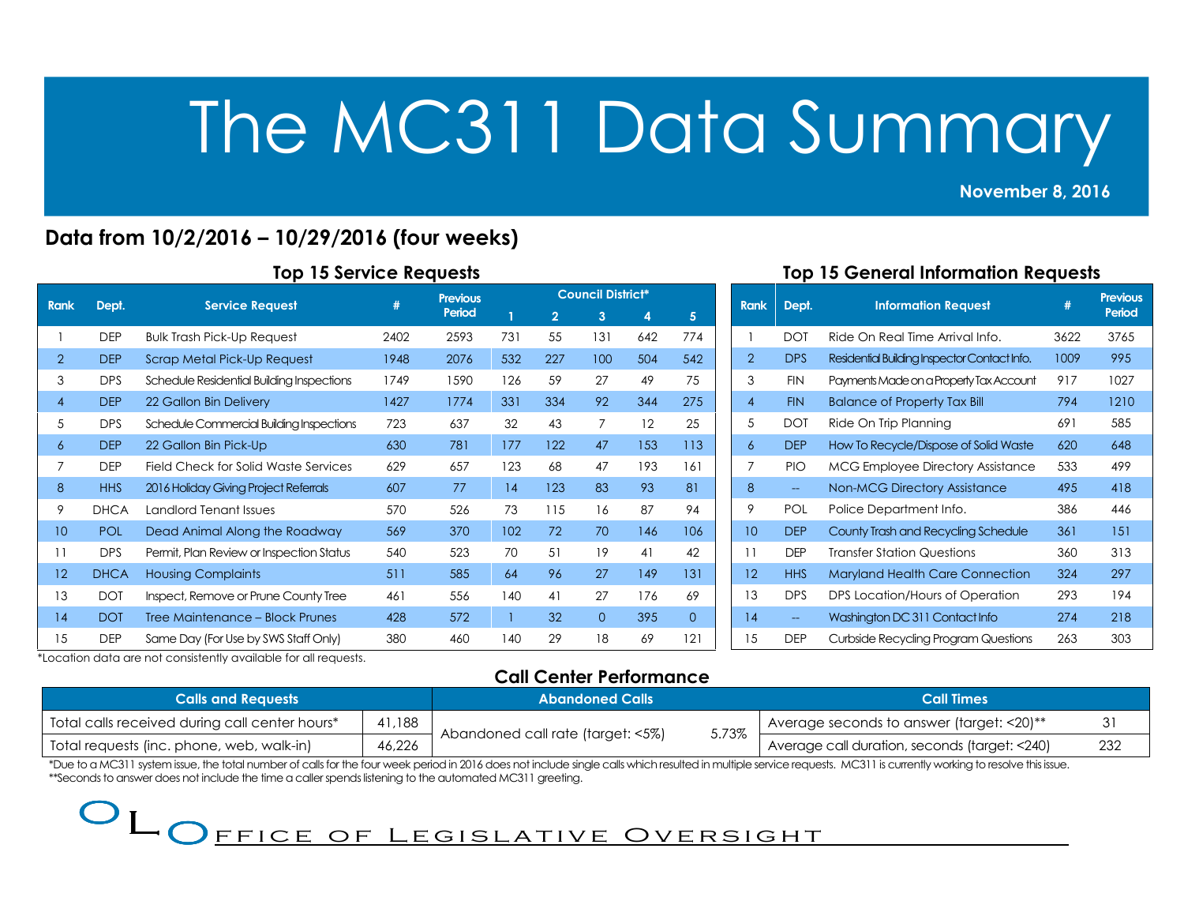#### November 8, 2016

2013<br>2013 - Paul Barnett, politik eta alder<br>2013 - Paul Barnett, politik eta alder

## Data from 10/2/2016 – 10/29/2016 (four weeks)

|  |  |  |  | <b>Top 15 Service Requests</b> |
|--|--|--|--|--------------------------------|
|--|--|--|--|--------------------------------|

|                |             |                                           | #    | <b>Previous</b> | <b>Council District*</b> |                |                |     |          |  |
|----------------|-------------|-------------------------------------------|------|-----------------|--------------------------|----------------|----------------|-----|----------|--|
| <b>Rank</b>    | Dept.       | <b>Service Request</b>                    |      | Period          |                          | $\overline{2}$ | 3              | 4   | 5        |  |
|                | <b>DEP</b>  | <b>Bulk Trash Pick-Up Request</b>         | 2402 | 2593            | 731                      | 55             | 131            | 642 | 774      |  |
| $\overline{2}$ | <b>DEP</b>  | Scrap Metal Pick-Up Request               | 1948 | 2076            | 532                      | 227            | 100            | 504 | 542      |  |
| 3              | <b>DPS</b>  | Schedule Residential Building Inspections | 1749 | 1590            | 126                      | 59             | 27             | 49  | 75       |  |
| $\overline{4}$ | <b>DEP</b>  | 22 Gallon Bin Delivery                    | 1427 | 1774            | 331                      | 334            | 92             | 344 | 275      |  |
| 5              | <b>DPS</b>  | Schedule Commercial Building Inspections  | 723  | 637             | 32                       | 43             | 7              | 12  | 25       |  |
| 6              | <b>DEP</b>  | 22 Gallon Bin Pick-Up                     | 630  | 781             | 177                      | 122            | 47             | 153 | 113      |  |
| $\overline{7}$ | <b>DEP</b>  | Field Check for Solid Waste Services      | 629  | 657             | 123                      | 68             | 47             | 193 | 161      |  |
| 8              | <b>HHS</b>  | 2016 Holiday Giving Project Referrals     | 607  | 77              | 14                       | 123            | 83             | 93  | 81       |  |
| 9              | <b>DHCA</b> | Landlord Tenant Issues                    | 570  | 526             | 73                       | 115            | 16             | 87  | 94       |  |
| 10             | <b>POL</b>  | Dead Animal Along the Roadway             | 569  | 370             | 102                      | 72             | 70             | 146 | 106      |  |
| 11             | <b>DPS</b>  | Permit, Plan Review or Inspection Status  | 540  | 523             | 70                       | 51             | 19             | 41  | 42       |  |
| 12             | <b>DHCA</b> | <b>Housing Complaints</b>                 | 511  | 585             | 64                       | 96             | 27             | 149 | 131      |  |
| 13             | <b>DOT</b>  | Inspect, Remove or Prune County Tree      | 461  | 556             | 140                      | 41             | 27             | 176 | 69       |  |
| 14             | <b>DOT</b>  | Tree Maintenance – Block Prunes           | 428  | 572             |                          | 32             | $\overline{O}$ | 395 | $\Omega$ |  |
| 15             | <b>DEP</b>  | Same Day (For Use by SWS Staff Only)      | 380  | 460             | 140                      | 29             | 18             | 69  | 121      |  |

## Top 15 General Information Requests

| <b>Rank</b>    | Dept.                    | <b>Information Request</b>                   | #    | <b>Previous</b><br>Period |
|----------------|--------------------------|----------------------------------------------|------|---------------------------|
| 1              | DOT                      | Ride On Real Time Arrival Info               | 3622 | 3765                      |
| $\overline{2}$ | <b>DPS</b>               | Residential Building Inspector Contact Info. | 1009 | 995                       |
| 3              | <b>FIN</b>               | Payments Made on a Property Tax Account      | 917  | 1027                      |
| 4              | <b>FIN</b>               | <b>Balance of Property Tax Bill</b>          | 794  | 1210                      |
| 5              | DOT                      | Ride On Trip Planning                        | 691  | 585                       |
| 6              | <b>DEP</b>               | How To Recycle/Dispose of Solid Waste        | 620  | 648                       |
| 7              | <b>PIO</b>               | <b>MCG Employee Directory Assistance</b>     | 533  | 499                       |
| 8              | $\overline{\phantom{m}}$ | <b>Non-MCG Directory Assistance</b>          | 495  | 418                       |
| 9              | <b>POL</b>               | Police Department Info.                      | 386  | 446                       |
| 10             | <b>DEP</b>               | County Trash and Recycling Schedule          | 361  | 151                       |
| 11             | <b>DEP</b>               | Transfer Station Questions                   | 360  | 313                       |
| 12             | <b>HHS</b>               | <b>Maryland Health Care Connection</b>       | 324  | 297                       |
| 13             | <b>DPS</b>               | DPS Location/Hours of Operation              | 293  | 194                       |
| 14             | --                       | Washington DC 311 Contact Info               | 274  | 218                       |
| 15             | DEP                      | Curbside Recycling Program Questions         | 263  | 303                       |

\*Location data are not consistently available for all requests.

## Call Center Performance

| <b>Calls and Requests</b>                      |           | <b>Abandoned Calls</b>                     | <b>Call Times</b>                                 |     |  |
|------------------------------------------------|-----------|--------------------------------------------|---------------------------------------------------|-----|--|
| Total calls received during call center hours* | . I , 188 |                                            | I Average seconds to answer (target: $<$ 20) $**$ |     |  |
| Total requests (inc. phone, web, walk-in)      | 46,226    | 5.73%<br>Abandoned call rate (target: <5%) | Average call duration, seconds (target: <240)     | 232 |  |

\*Due to a MC311 system issue, the total number of calls for the four week period in 2016 does not include single calls which resulted in multiple service requests. MC311 is currently working to resolve this issue. \*\*Seconds to answer does not include the time a caller spends listening to the automated MC311 greeting.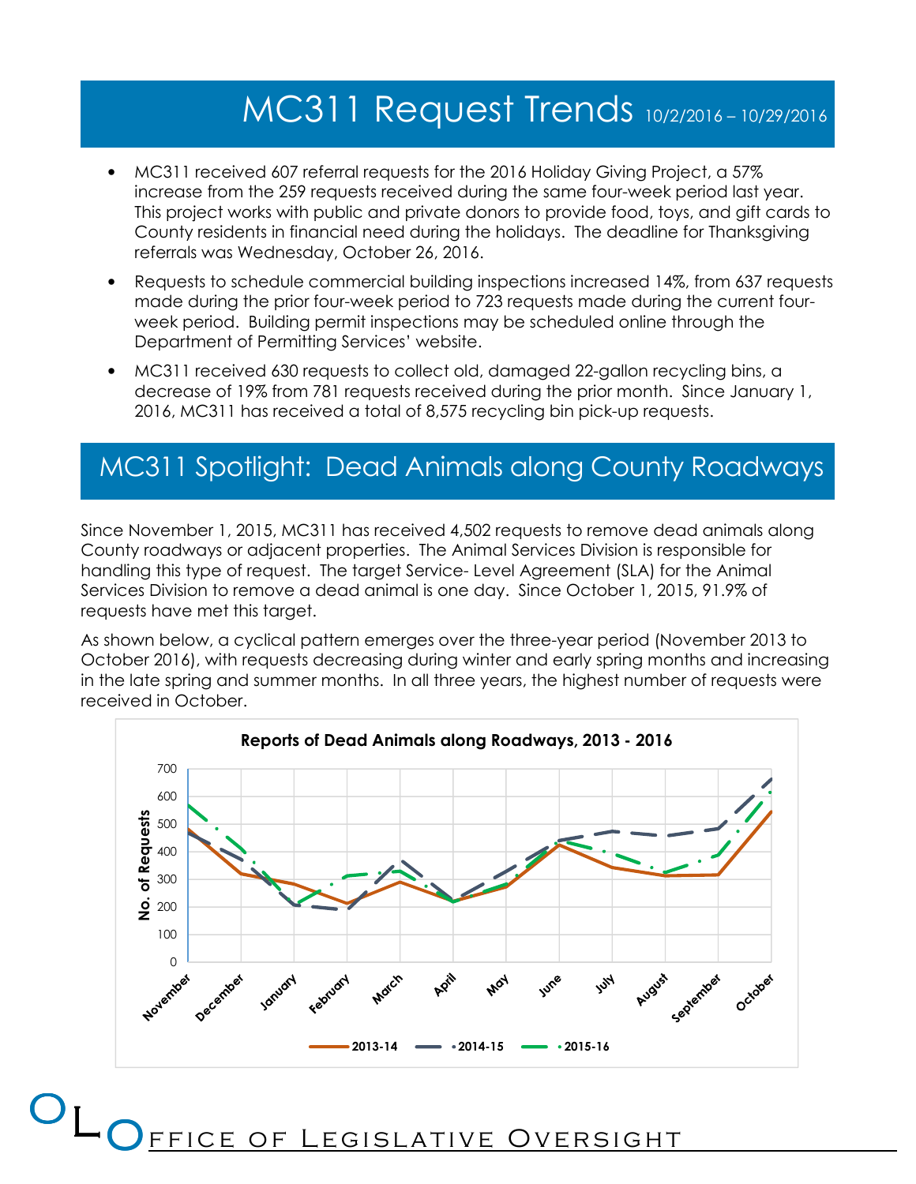## MC311 Request Trends 10/2/2016 – 10/29/2016

- MC311 received 607 referral requests for the 2016 Holiday Giving Project, a 57% increase from the 259 requests received during the same four-week period last year. This project works with public and private donors to provide food, toys, and gift cards to County residents in financial need during the holidays. The deadline for Thanksgiving referrals was Wednesday, October 26, 2016.
- Requests to schedule commercial building inspections increased 14%, from 637 requests made during the prior four-week period to 723 requests made during the current fourweek period. Building permit inspections may be scheduled online through the Department of Permitting Services' website.
- MC311 received 630 requests to collect old, damaged 22-gallon recycling bins, a decrease of 19% from 781 requests received during the prior month. Since January 1, 2016, MC311 has received a total of 8,575 recycling bin pick-up requests.

## MC311 Spotlight: Dead Animals along County Roadways

Since November 1, 2015, MC311 has received 4,502 requests to remove dead animals along County roadways or adjacent properties. The Animal Services Division is responsible for handling this type of request. The target Service- Level Agreement (SLA) for the Animal Services Division to remove a dead animal is one day. Since October 1, 2015, 91.9% of requests have met this target.

As shown below, a cyclical pattern emerges over the three-year period (November 2013 to October 2016), with requests decreasing during winter and early spring months and increasing in the late spring and summer months. In all three years, the highest number of requests were received in October.



CE OF LEGISLATIVE OVERSIGHT

 $\mathsf{O}_{\mathsf{L}\mathsf{O}_{\mathsf{FEI}}}$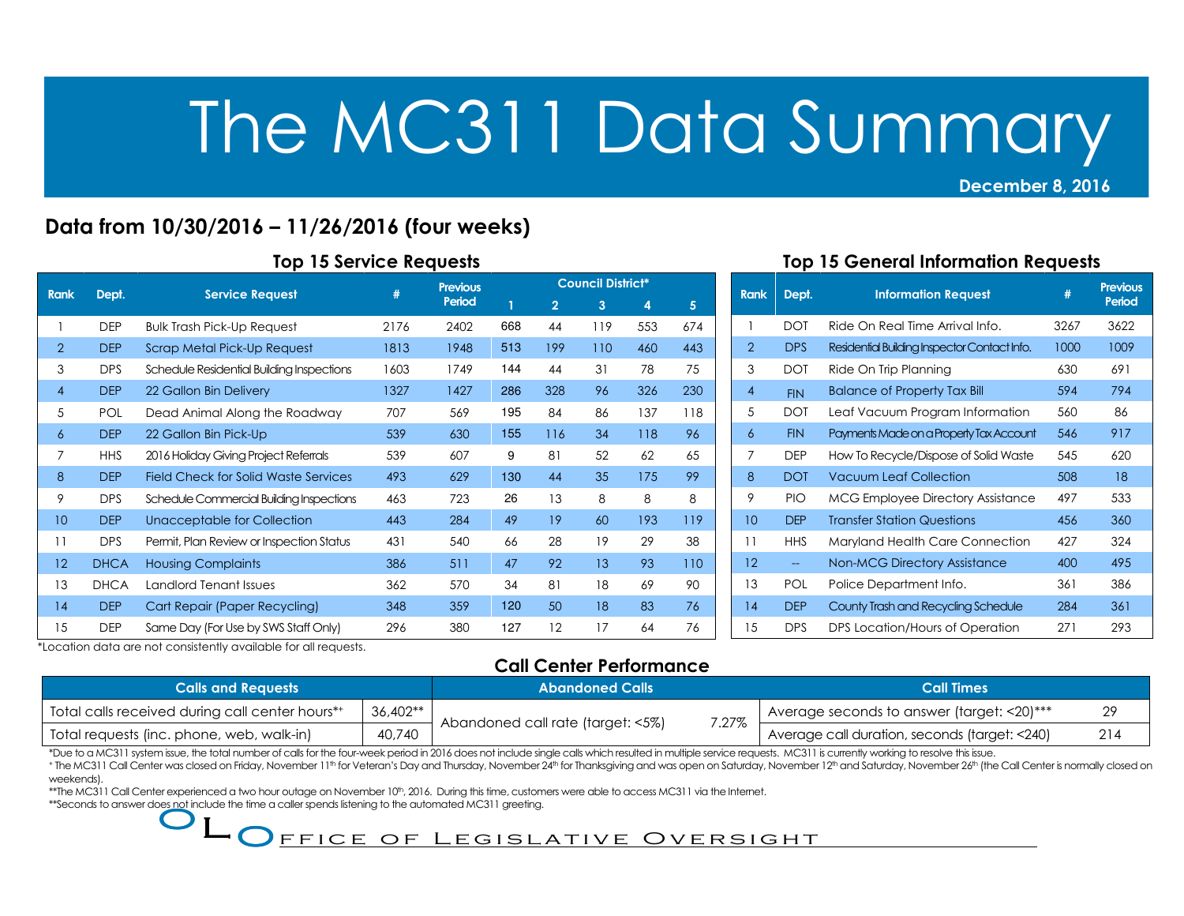## Data from 10/30/2016 – 11/26/2016 (four weeks)

| <b>Rank</b>    | Dept.       | <b>Service Request</b>                      | #    | <b>Previous</b> | <b>Council District*</b> |                |     |     |     |  |
|----------------|-------------|---------------------------------------------|------|-----------------|--------------------------|----------------|-----|-----|-----|--|
|                |             |                                             |      | Period          |                          | $\overline{2}$ | 3   | 4   | 5   |  |
|                | <b>DEP</b>  | <b>Bulk Trash Pick-Up Request</b>           | 2176 | 2402            | 668                      | 44             | 119 | 553 | 674 |  |
| $\overline{2}$ | <b>DEP</b>  | Scrap Metal Pick-Up Request                 | 1813 | 1948            | 513                      | 199            | 110 | 460 | 443 |  |
| 3              | <b>DPS</b>  | Schedule Residential Building Inspections   | 1603 | 1749            | 144                      | 44             | 31  | 78  | 75  |  |
| $\overline{4}$ | <b>DEP</b>  | 22 Gallon Bin Delivery                      | 1327 | 1427            | 286                      | 328            | 96  | 326 | 230 |  |
| 5              | POL         | Dead Animal Along the Roadway               | 707  | 569             | 195                      | 84             | 86  | 137 | 118 |  |
| 6              | <b>DEP</b>  | 22 Gallon Bin Pick-Up                       | 539  | 630             | 155                      | 116            | 34  | 118 | 96  |  |
| 7              | <b>HHS</b>  | 2016 Holiday Giving Project Referrals       | 539  | 607             | 9                        | 81             | 52  | 62  | 65  |  |
| 8              | <b>DEP</b>  | <b>Field Check for Solid Waste Services</b> | 493  | 629             | 130                      | 44             | 35  | 175 | 99  |  |
| 9              | <b>DPS</b>  | Schedule Commercial Building Inspections    | 463  | 723             | 26                       | 13             | 8   | 8   | 8   |  |
| 10             | <b>DEP</b>  | Unacceptable for Collection                 | 443  | 284             | 49                       | 19             | 60  | 193 | 119 |  |
| 11             | <b>DPS</b>  | Permit, Plan Review or Inspection Status    | 431  | 540             | 66                       | 28             | 19  | 29  | 38  |  |
| 12             | <b>DHCA</b> | <b>Housing Complaints</b>                   | 386  | 511             | 47                       | 92             | 13  | 93  | 110 |  |
| 13             | <b>DHCA</b> | Landlord Tenant Issues                      | 362  | 570             | 34                       | 81             | 18  | 69  | 90  |  |
| 14             | <b>DEP</b>  | Cart Repair (Paper Recycling)               | 348  | 359             | 120                      | 50             | 18  | 83  | 76  |  |
| 15             | <b>DEP</b>  | Same Day (For Use by SWS Staff Only)        | 296  | 380             | 127                      | 12             | 17  | 64  | 76  |  |

## Top 15 General Information Requests

December 8, 2016

| <b>Rank</b>    | Dept.      | <b>Information Request</b>                   | #    | <b>Previous</b><br>Period |
|----------------|------------|----------------------------------------------|------|---------------------------|
| 1              | <b>DOT</b> | Ride On Real Time Arrival Info.              | 3267 | 3622                      |
| $\overline{2}$ | <b>DPS</b> | Residential Building Inspector Contact Info. | 1000 | 1009                      |
| 3              | <b>DOT</b> | Ride On Trip Planning                        | 630  | 691                       |
| $\overline{4}$ | <b>FIN</b> | <b>Balance of Property Tax Bill</b>          | 594  | 794                       |
| 5              | <b>DOT</b> | Leaf Vacuum Program Information              | 560  | 86                        |
| 6              | <b>FIN</b> | Payments Made on a Property Tax Account      | 546  | 917                       |
| 7              | <b>DEP</b> | How To Recycle/Dispose of Solid Waste        | 545  | 620                       |
| 8              | <b>DOT</b> | <b>Vacuum Leaf Collection</b>                | 508  | 18                        |
| 9              | <b>PIO</b> | <b>MCG Employee Directory Assistance</b>     | 497  | 533                       |
| 10             | <b>DFP</b> | <b>Transfer Station Questions</b>            | 456  | 360                       |
| 11             | <b>HHS</b> | Maryland Health Care Connection              | 427  | 324                       |
| 12             |            | <b>Non-MCG Directory Assistance</b>          | 400  | 495                       |
| 13             | <b>POL</b> | Police Department Info.                      | 361  | 386                       |
| 14             | <b>DEP</b> | County Trash and Recycling Schedule          | 284  | 361                       |
| 15             | <b>DPS</b> | DPS Location/Hours of Operation              | 271  | 293                       |

\*Location data are not consistently available for all requests.

#### Call Center Performance

| <b>Calls and Requests</b>                                                                |  | <b>Abandoned Calls</b> |                                               | <b>Call Times</b> |  |  |  |
|------------------------------------------------------------------------------------------|--|------------------------|-----------------------------------------------|-------------------|--|--|--|
| 36,402**<br>Total calls received during call center hours*+                              |  | 7.27%                  | I Average seconds to answer (target: <20)***  | 29                |  |  |  |
| Abandoned call rate (target: <5%)<br>40,740<br>Total requests (inc. phone, web, walk-in) |  |                        | Average call duration, seconds (target: <240) | 214               |  |  |  |

\*Due to a MC311 system issue, the total number of calls for the four-week period in 2016 does not include single calls which resulted in multiple service requests. MC311 is currently working to resolve this issue.

\* The MC311 Call Center was closed on Friday, November 11th for Veteran's Day and Thursday, November 24th for Thanksgiving and was open on Saturday, November 22th and Saturday, November 26th (the Call Center is normally cl weekends).

\*\*The MC311 Call Center experienced a two hour outage on November 10th, 2016. During this time, customers were able to access MC311 via the Internet.

\*\*Seconds to answer does not include the time a caller spends listening to the automated MC311 greeting.